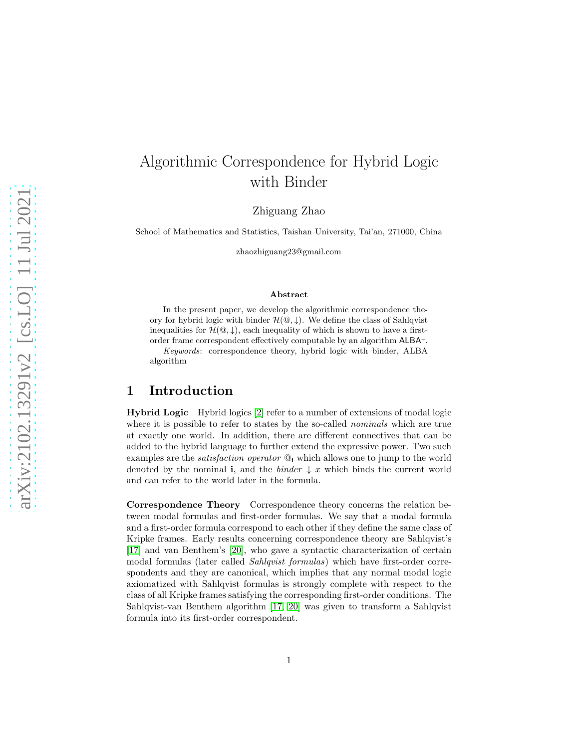# Algorithmic Correspondence for Hybrid Logic with Binder

Zhiguang Zhao

School of Mathematics and Statistics, Taishan University, Tai'an, 271000, China

zhaozhiguang23@gmail.com

#### Abstract

In the present paper, we develop the algorithmic correspondence theory for hybrid logic with binder  $\mathcal{H}(\mathbb{Q},\downarrow)$ . We define the class of Sahlqvist inequalities for  $\mathcal{H}(\mathbb{Q},\downarrow)$ , each inequality of which is shown to have a firstorder frame correspondent effectively computable by an algorithm  $\mathsf{ALBA}^{\downarrow}$ .

Keywords: correspondence theory, hybrid logic with binder, ALBA algorithm

### 1 Introduction

Hybrid Logic Hybrid logics [\[2\]](#page-31-0) refer to a number of extensions of modal logic where it is possible to refer to states by the so-called *nominals* which are true at exactly one world. In addition, there are different connectives that can be added to the hybrid language to further extend the expressive power. Two such examples are the *satisfaction operator* @<sup>i</sup> which allows one to jump to the world denoted by the nominal **i**, and the *binder*  $\downarrow x$  which binds the current world and can refer to the world later in the formula.

Correspondence Theory Correspondence theory concerns the relation between modal formulas and first-order formulas. We say that a modal formula and a first-order formula correspond to each other if they define the same class of Kripke frames. Early results concerning correspondence theory are Sahlqvist's [\[17\]](#page-32-0) and van Benthem's [\[20\]](#page-32-1), who gave a syntactic characterization of certain modal formulas (later called *Sahlqvist formulas*) which have first-order correspondents and they are canonical, which implies that any normal modal logic axiomatized with Sahlqvist formulas is strongly complete with respect to the class of all Kripke frames satisfying the corresponding first-order conditions. The Sahlqvist-van Benthem algorithm [\[17,](#page-32-0) [20\]](#page-32-1) was given to transform a Sahlqvist formula into its first-order correspondent.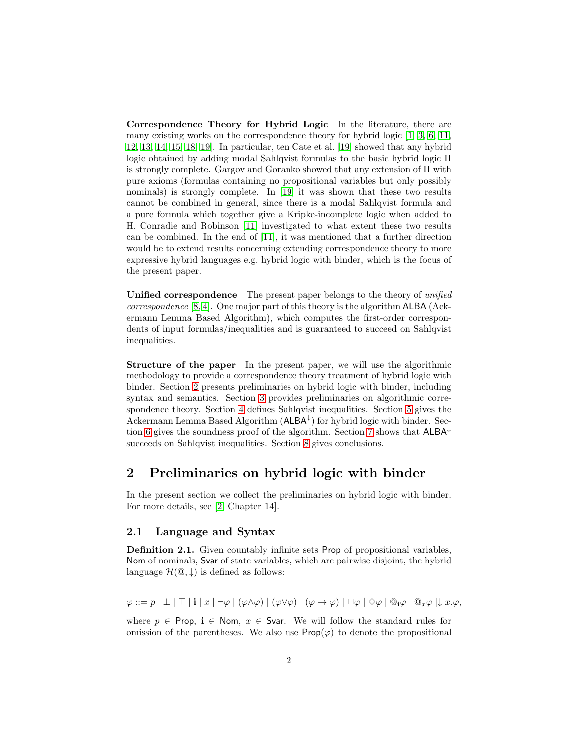Correspondence Theory for Hybrid Logic In the literature, there are many existing works on the correspondence theory for hybrid logic [\[1,](#page-31-1) [3,](#page-31-2) [6,](#page-31-3) [11,](#page-32-2) [12,](#page-32-3) [13,](#page-32-4) [14,](#page-32-5) [15,](#page-32-6) [18,](#page-32-7) [19\]](#page-32-8). In particular, ten Cate et al. [\[19\]](#page-32-8) showed that any hybrid logic obtained by adding modal Sahlqvist formulas to the basic hybrid logic H is strongly complete. Gargov and Goranko showed that any extension of H with pure axioms (formulas containing no propositional variables but only possibly nominals) is strongly complete. In [\[19\]](#page-32-8) it was shown that these two results cannot be combined in general, since there is a modal Sahlqvist formula and a pure formula which together give a Kripke-incomplete logic when added to H. Conradie and Robinson [\[11\]](#page-32-2) investigated to what extent these two results can be combined. In the end of [\[11\]](#page-32-2), it was mentioned that a further direction would be to extend results concerning extending correspondence theory to more expressive hybrid languages e.g. hybrid logic with binder, which is the focus of the present paper.

Unified correspondence The present paper belongs to the theory of *unified correspondence* [\[8,](#page-31-4) [4\]](#page-31-5). One major part of this theory is the algorithm ALBA (Ackermann Lemma Based Algorithm), which computes the first-order correspondents of input formulas/inequalities and is guaranteed to succeed on Sahlqvist inequalities.

Structure of the paper In the present paper, we will use the algorithmic methodology to provide a correspondence theory treatment of hybrid logic with binder. Section [2](#page-1-0) presents preliminaries on hybrid logic with binder, including syntax and semantics. Section [3](#page-4-0) provides preliminaries on algorithmic correspondence theory. Section [4](#page-7-0) defines Sahlqvist inequalities. Section [5](#page-9-0) gives the Ackermann Lemma Based Algorithm  $(ALBA^{\downarrow})$  for hybrid logic with binder. Sec-tion [6](#page-19-0) gives the soundness proof of the algorithm. Section [7](#page-28-0) shows that  $A L B A^{\downarrow}$ succeeds on Sahlqvist inequalities. Section [8](#page-30-0) gives conclusions.

## <span id="page-1-0"></span>2 Preliminaries on hybrid logic with binder

In the present section we collect the preliminaries on hybrid logic with binder. For more details, see [\[2,](#page-31-0) Chapter 14].

#### 2.1 Language and Syntax

Definition 2.1. Given countably infinite sets Prop of propositional variables, Nom of nominals, Svar of state variables, which are pairwise disjoint, the hybrid language  $\mathcal{H}(\mathbb{Q},\downarrow)$  is defined as follows:

 $\varphi ::= p | \perp | \perp | \perp | i | x | \neg \varphi | (\varphi \wedge \varphi) | (\varphi \vee \varphi) | (\varphi \rightarrow \varphi) | \Box \varphi | \Diamond \varphi | \Box \varphi | \Box \varphi | \Box x. \varphi,$ 

where  $p \in \text{Prop}, i \in \text{Nom}, x \in \text{Svar}$ . We will follow the standard rules for omission of the parentheses. We also use  $\mathsf{Prop}(\varphi)$  to denote the propositional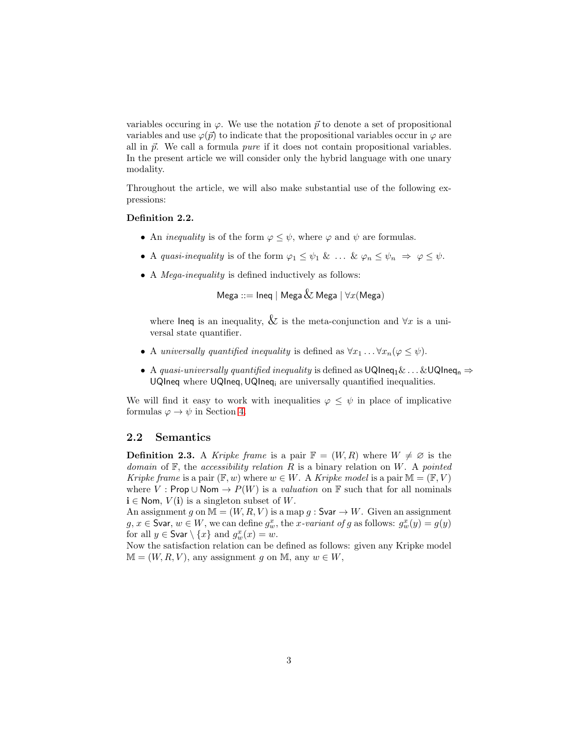variables occuring in  $\varphi$ . We use the notation  $\vec{p}$  to denote a set of propositional variables and use  $\varphi(\vec{p})$  to indicate that the propositional variables occur in  $\varphi$  are all in  $\vec{p}$ . We call a formula *pure* if it does not contain propositional variables. In the present article we will consider only the hybrid language with one unary modality.

Throughout the article, we will also make substantial use of the following expressions:

#### Definition 2.2.

- An *inequality* is of the form  $\varphi \leq \psi$ , where  $\varphi$  and  $\psi$  are formulas.
- A *quasi-inequality* is of the form  $\varphi_1 \leq \psi_1 \& \dots \& \varphi_n \leq \psi_n \Rightarrow \varphi \leq \psi$ .
- A *Mega-inequality* is defined inductively as follows:

Mega ::=  $\ln$ eg | Mega  $\&$  Mega |  $\forall x$ (Mega)

where lneq is an inequality,  $\&$  is the meta-conjunction and  $\forall x$  is a universal state quantifier.

- A *universally quantified inequality* is defined as  $\forall x_1 \dots \forall x_n (\varphi \leq \psi)$ .
- A *quasi-universally quantified inequality* is defined as  $UQIneq_1\& \ldots \& UQIneq_n \Rightarrow$ UQIneq where UQIneq, UQIneq<sub>i</sub> are universally quantified inequalities.

We will find it easy to work with inequalities  $\varphi \leq \psi$  in place of implicative formulas  $\varphi \to \psi$  in Section [4.](#page-7-0)

#### 2.2 Semantics

<span id="page-2-0"></span>**Definition 2.3.** A *Kripke frame* is a pair  $\mathbb{F} = (W, R)$  where  $W \neq \emptyset$  is the *domain* of F, the *accessibility relation* R is a binary relation on W. A *pointed Kripke frame* is a pair  $(\mathbb{F}, w)$  where  $w \in W$ . A *Kripke model* is a pair  $\mathbb{M} = (\mathbb{F}, V)$ where V : Prop  $\cup$  Nom  $\rightarrow$   $P(W)$  is a *valuation* on F such that for all nominals  $i \in \text{Nom}, V(i)$  is a singleton subset of W.

An assignment g on  $\mathbb{M} = (W, R, V)$  is a map g : Svar  $\rightarrow W$ . Given an assignment  $g, x \in \mathsf{Svar}, w \in W$ , we can define  $g_w^x$ , the x-variant of g as follows:  $g_w^x(y) = g(y)$ for all  $y \in \mathsf{Svar} \setminus \{x\}$  and  $g_w^x(x) = w$ .

Now the satisfaction relation can be defined as follows: given any Kripke model  $M = (W, R, V)$ , any assignment g on M, any  $w \in W$ ,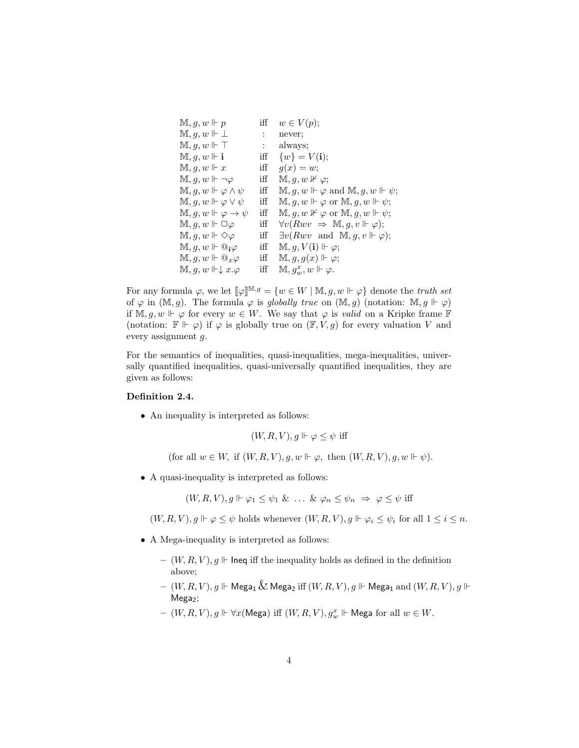```
\mathbb{M}, g, w \Vdash p iff w \in V(p);\mathbb{M}, g, w \Vdash \bot : never;
M, g, w \Vdash \top : always;
\mathbb{M}, q, w \Vdash \mathbf{i} iff \{w\} = V(\mathbf{i});\mathbb{M}, q, w \Vdash x iff g(x) = w;\mathbb{M}, g, w \Vdash \neg \varphi iff \mathbb{M}, g, w \nvDash \varphi;<br>\mathbb{M}, g, w \Vdash \varphi \land \psi iff \mathbb{M}, g, w \Vdash \varphiiff \mathbb{M}, q, w \Vdash \varphi and \mathbb{M}, q, w \Vdash \psi;
\mathbb{M}, g, w \Vdash \varphi \vee \psi iff \mathbb{M}, g, w \Vdash \varphi or \mathbb{M}, g, w \Vdash \psi;
\mathbb{M}, g, w \Vdash \varphi \to \psi iff \mathbb{M}, g, w \nvDash \varphi or \mathbb{M}, g, w \Vdash \psi;
\mathbb{M}, g, w \Vdash \Box \varphi iff \forall v(Rwv \Rightarrow \mathbb{M}, g, v \Vdash \varphi);\mathbb{M}, g, w \Vdash \Diamond \varphi iff \exists v(Rwv \text{ and } \mathbb{M}, g, v \Vdash \varphi);\mathbb{M}, g, w \Vdash \mathbb{Q}_\mathbf{i} \varphi \quad \text{iff} \quad \mathbb{M}, g, V(\mathbf{i}) \Vdash \varphi;\mathbb{M}, g, w \Vdash \mathbb{Q}_x \varphi iff \mathbb{M}, g, g(x) \Vdash \varphi;\mathbb{M}, q, w \Vdash \downarrow x.\varphiiff \mathbb{M}, g_w^x, w \Vdash \varphi.
```
For any formula  $\varphi$ , we let  $[\![\varphi]\!]^{\mathbb{M},g} = \{w \in W \mid \mathbb{M}, g, w \Vdash \varphi\}$  denote the *truth set* of  $\varphi$  in  $(\mathbb{M}, g)$ . The formula  $\varphi$  is *globally true* on  $(\mathbb{M}, g)$  (notation:  $\mathbb{M}, g \Vdash \varphi$ ) if M, q, w  $\Vdash \varphi$  for every  $w \in W$ . We say that  $\varphi$  is *valid* on a Kripke frame F (notation:  $\mathbb{F} \Vdash \varphi$ ) if  $\varphi$  is globally true on  $(\mathbb{F}, V, g)$  for every valuation V and every assignment g.

For the semantics of inequalities, quasi-inequalities, mega-inequalities, universally quantified inequalities, quasi-universally quantified inequalities, they are given as follows:

#### Definition 2.4.

• An inequality is interpreted as follows:

 $(W, R, V), q \Vdash \varphi \leq \psi$  iff

(for all  $w \in W$ , if  $(W, R, V)$ ,  $g, w \Vdash \varphi$ , then  $(W, R, V)$ ,  $g, w \Vdash \psi$ ).

• A quasi-inequality is interpreted as follows:

$$
(W, R, V), g \Vdash \varphi_1 \leq \psi_1 \& \dots \& \varphi_n \leq \psi_n \Rightarrow \varphi \leq \psi
$$
 iff

 $(W, R, V), g \Vdash \varphi \leq \psi$  holds whenever  $(W, R, V), g \Vdash \varphi_i \leq \psi_i$  for all  $1 \leq i \leq n$ .

- A Mega-inequality is interpreted as follows:
	- $(W, R, V), g \Vdash$  Ineq iff the inequality holds as defined in the definition above;
	- $(W, R, V), q \Vdash \mathsf{Mega}_1 \& \mathsf{Mega}_2$  iff  $(W, R, V), q \Vdash \mathsf{Mega}_1$  and  $(W, R, V), q \Vdash \mathsf{Mega}_2$  $Mega<sub>2</sub>$ ;
	- $(W, R, V), g \Vdash \forall x (\text{Mega}) \text{ iff } (W, R, V), g_w^x \Vdash \text{Mega for all } w \in W.$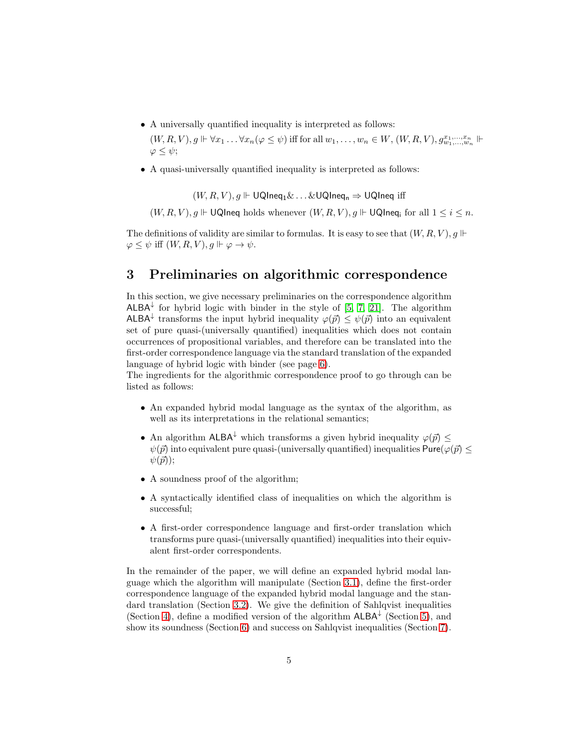• A universally quantified inequality is interpreted as follows:

 $(W, R, V), g \Vdash \forall x_1 \ldots \forall x_n (\varphi \leq \psi)$  iff for all  $w_1, \ldots, w_n \in W$ ,  $(W, R, V), g^{x_1, \ldots, x_n}_{w_1, \ldots, w_n} \Vdash$  $\varphi \leq \psi$ :

• A quasi-universally quantified inequality is interpreted as follows:

 $(W, R, V), g \Vdash \text{UQIneq}_1 \& \ldots \& \text{UQIneq}_n \Rightarrow \text{UQIneq}$  iff

 $(W, R, V)$ ,  $q \Vdash \mathsf{UQIneq}$  holds whenever  $(W, R, V)$ ,  $q \Vdash \mathsf{UQIneq}$  for all  $1 \leq i \leq n$ .

The definitions of validity are similar to formulas. It is easy to see that  $(W, R, V), g \Vdash$  $\varphi \leq \psi$  iff  $(W, R, V), g \Vdash \varphi \to \psi$ .

## <span id="page-4-0"></span>3 Preliminaries on algorithmic correspondence

In this section, we give necessary preliminaries on the correspondence algorithm  $A$ LBA<sup>↓</sup> for hybrid logic with binder in the style of [\[5,](#page-31-6) [7,](#page-31-7) [21\]](#page-32-9). The algorithm ALBA<sup>↓</sup> transforms the input hybrid inequality  $\varphi(\vec{p}) \leq \psi(\vec{p})$  into an equivalent set of pure quasi-(universally quantified) inequalities which does not contain occurrences of propositional variables, and therefore can be translated into the first-order correspondence language via the standard translation of the expanded language of hybrid logic with binder (see page [6\)](#page-5-0).

The ingredients for the algorithmic correspondence proof to go through can be listed as follows:

- An expanded hybrid modal language as the syntax of the algorithm, as well as its interpretations in the relational semantics;
- An algorithm ALBA<sup>↓</sup> which transforms a given hybrid inequality  $\varphi(\vec{p})$  <  $\psi(\vec{p})$  into equivalent pure quasi-(universally quantified) inequalities Pure( $\varphi(\vec{p})$  <  $\psi(\vec{p})$ ;
- A soundness proof of the algorithm;
- A syntactically identified class of inequalities on which the algorithm is successful;
- A first-order correspondence language and first-order translation which transforms pure quasi-(universally quantified) inequalities into their equivalent first-order correspondents.

In the remainder of the paper, we will define an expanded hybrid modal language which the algorithm will manipulate (Section [3.1\)](#page-5-0), define the first-order correspondence language of the expanded hybrid modal language and the standard translation (Section [3.2\)](#page-5-1). We give the definition of Sahlqvist inequalities (Section [4\)](#page-7-0), define a modified version of the algorithm  $ALBA^{\downarrow}$  (Section [5\)](#page-9-0), and show its soundness (Section [6\)](#page-19-0) and success on Sahlqvist inequalities (Section [7\)](#page-28-0).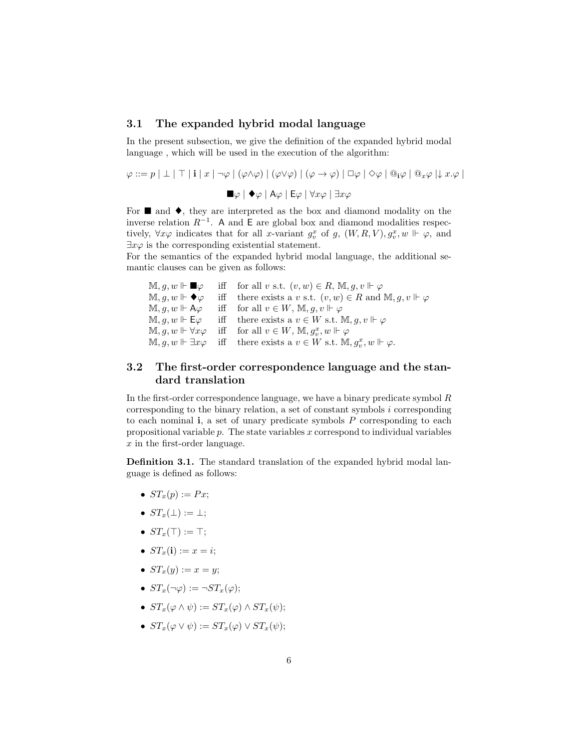#### <span id="page-5-0"></span>3.1 The expanded hybrid modal language

In the present subsection, we give the definition of the expanded hybrid modal language , which will be used in the execution of the algorithm:

$$
\varphi ::= p | \perp | \perp | \perp | \perp | \varphi | (\varphi \wedge \varphi) | (\varphi \vee \varphi) | (\varphi \rightarrow \varphi) | \Box \varphi | \Diamond \varphi | \mathbb{Q}_i \varphi | \mathbb{Q}_x \varphi | \downarrow x. \varphi |
$$
  

$$
\blacksquare \varphi | \blacklozenge \varphi | A \varphi | E \varphi | \forall x \varphi | \exists x \varphi
$$
  
For  $\blacksquare$  and  $\spadesuit$  they are interpreted as the box and diamond modality on the

For  $\blacksquare$  and  $\blacklozenge$ , they are interpreted as the box and diamond modality on the inverse relation  $R^{-1}$ . A and E are global box and diamond modalities respectively,  $\forall x \varphi$  indicates that for all x-variant  $g_v^x$  of g,  $(W, R, V), g_v^x, w \Vdash \varphi$ , and  $\exists x \varphi$  is the corresponding existential statement.

For the semantics of the expanded hybrid modal language, the additional semantic clauses can be given as follows:

 $\mathbb{M}, g, w \Vdash \blacksquare \varphi$  iff for all v s.t.  $(v, w) \in R$ ,  $\mathbb{M}, g, v \Vdash \varphi$  $\mathbb{M}, g, w \Vdash \blacklozenge \varphi$  iff there exists a v s.t.  $(v, w) \in R$  and  $\mathbb{M}, g, v \Vdash \varphi$  $\mathbb{M}, q, w \Vdash \mathsf{A}\varphi$  iff for all  $v \in W$ ,  $\mathbb{M}, q, v \Vdash \varphi$  $\mathbb{M}, g, w \Vdash \mathsf{E}\varphi$  iff there exists a  $v \in W$  s.t.  $\mathbb{M}, g, v \Vdash \varphi$  $\mathbb{M}, g, w \Vdash \forall x \varphi \quad \text{ iff } \quad \text{for all } v \in W, \, \mathbb{M}, g_v^x, w \Vdash \varphi$  $\mathbb{M}, g, w \Vdash \exists x \varphi \quad \text{iff} \quad \text{there exists a } v \in W \text{ s.t. } \mathbb{M}, g_v^x, w \Vdash \varphi.$ 

### <span id="page-5-1"></span>3.2 The first-order correspondence language and the standard translation

In the first-order correspondence language, we have a binary predicate symbol R corresponding to the binary relation, a set of constant symbols i corresponding to each nominal  $\mathbf{i}$ , a set of unary predicate symbols  $P$  corresponding to each propositional variable  $p$ . The state variables  $x$  correspond to individual variables x in the first-order language.

Definition 3.1. The standard translation of the expanded hybrid modal language is defined as follows:

- $ST_x(p) := Px;$
- $ST_r(\perp) := \perp$ ;
- $ST_x(\top) := \top;$
- $ST_x(i) := x = i;$
- $ST_x(y) := x = y;$
- $ST_x(\neg\varphi) := \neg ST_x(\varphi);$
- $ST_x(\varphi \wedge \psi) := ST_x(\varphi) \wedge ST_x(\psi);$
- $ST_x(\varphi \vee \psi) := ST_x(\varphi) \vee ST_x(\psi);$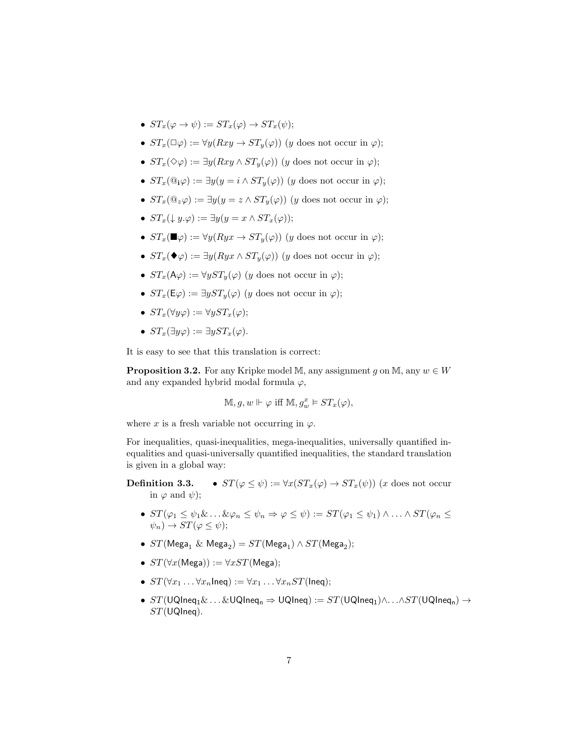- $ST_x(\varphi \to \psi) := ST_x(\varphi) \to ST_x(\psi);$
- $ST_x(\Box \varphi) := \forall y(Rxy \to ST_y(\varphi))$  (y does not occur in  $\varphi)$ );
- $ST_x(\Diamond \varphi) := \exists y(Rxy \land ST_y(\varphi))$  (y does not occur in  $\varphi)$ );
- $ST_x(\mathbb{Q}_\mathbf{i}\varphi) := \exists y(y = i \wedge ST_y(\varphi))$  (y does not occur in  $\varphi)$ ;
- $ST_x(\mathbb{Q}_z\varphi) := \exists y(y = z \wedge ST_y(\varphi))$  (y does not occur in  $\varphi)$ );
- $ST_r(\downarrow u.\varphi) := \exists u (u = x \wedge ST_r(\varphi));$
- $ST_r(\blacksquare \varphi) := \forall y (Ryx \rightarrow ST_u(\varphi))$  (y does not occur in  $\varphi$ );
- $ST_x(\blacklozenge\varphi) := \exists y (Ryx \wedge ST_y(\varphi))$  (y does not occur in  $\varphi)$ );
- $ST_x(\mathsf{A}\varphi) := \forall y ST_y(\varphi)$  (y does not occur in  $\varphi$ );
- $ST_x(\mathsf{E}\varphi) := \exists y ST_y(\varphi)$  (y does not occur in  $\varphi$ );
- $ST_x(\forall u\varphi) := \forall u ST_x(\varphi)$ ;
- $ST_x(\exists y \varphi) := \exists y ST_x(\varphi)$ .

It is easy to see that this translation is correct:

**Proposition 3.2.** For any Kripke model M, any assignment g on M, any  $w \in W$ and any expanded hybrid modal formula  $\varphi$ ,

$$
\mathbb{M}, g, w\Vdash \varphi \text{ iff } \mathbb{M}, g_w^x \vDash ST_x(\varphi),
$$

where x is a fresh variable not occurring in  $\varphi$ .

For inequalities, quasi-inequalities, mega-inequalities, universally quantified inequalities and quasi-universally quantified inequalities, the standard translation is given in a global way:

- **Definition 3.3.**  $ST(\varphi \leq \psi) := \forall x (ST_x(\varphi) \rightarrow ST_x(\psi))$  (x does not occur in  $\varphi$  and  $\psi$ );
	- $ST(\varphi_1 \leq \psi_1 \& \ldots \& \varphi_n \leq \psi_n \Rightarrow \varphi \leq \psi) := ST(\varphi_1 \leq \psi_1) \land \ldots \land ST(\varphi_n \leq \psi_n)$  $\psi_n$ )  $\rightarrow$   $ST(\varphi \leq \psi);$
	- $ST(\text{Mega}_1 \& \text{Mega}_2) = ST(\text{Mega}_1) \wedge ST(\text{Mega}_2);$
	- $ST(\forall x(\text{Mega})) := \forall x ST(\text{Mega});$
	- $ST(\forall x_1 \ldots \forall x_n \text{Ineq}) := \forall x_1 \ldots \forall x_n ST(\text{Ineq})$ ;
	- $ST(\text{UQIneq}_1 \& \ldots \& \text{UQIneq}_n \Rightarrow \text{UQIneq}) := ST(\text{UQIneq}_1) \land \ldots \land ST(\text{UQIneq}_n) \rightarrow$  $ST$  (UQIneq).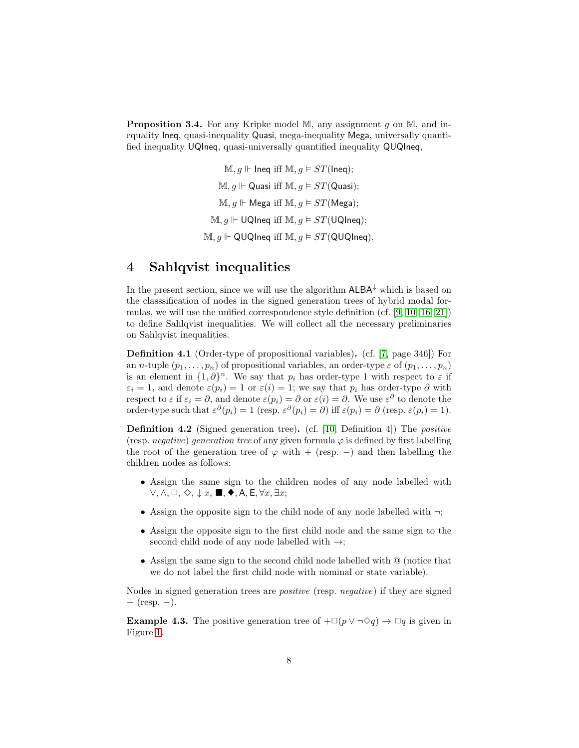<span id="page-7-1"></span>**Proposition 3.4.** For any Kripke model M, any assignment g on M, and inequality Ineq, quasi-inequality Quasi, mega-inequality Mega, universally quantified inequality UQIneq, quasi-universally quantified inequality QUQIneq,

> $M, g \Vdash$  Ineq iff  $M, g \vDash ST(\text{Ineq})$ ;  $M, q \Vdash$  Quasi iff M,  $q \vDash ST(Q$ uasi);  $M, g \Vdash \text{Mega iff } M, g \vDash ST(\text{Mega});$  $M, q \Vdash \text{UQIneq iff } M, q \vDash ST(\text{UQIneq});$  $M, q \Vdash QUQ$ lneq iff  $M, q \vDash ST(QUQ)$ lneq).

## <span id="page-7-0"></span>4 Sahlqvist inequalities

In the present section, since we will use the algorithm  $A L B A^{\downarrow}$  which is based on the classsification of nodes in the signed generation trees of hybrid modal formulas, we will use the unified correspondence style definition (cf. [\[9,](#page-32-10) [10,](#page-32-11) [16,](#page-32-12) [21\]](#page-32-9)) to define Sahlqvist inequalities. We will collect all the necessary preliminaries on Sahlqvist inequalities.

Definition 4.1 (Order-type of propositional variables). (cf. [\[7,](#page-31-7) page 346]) For an *n*-tuple  $(p_1, \ldots, p_n)$  of propositional variables, an order-type  $\varepsilon$  of  $(p_1, \ldots, p_n)$ is an element in  $\{1,\partial\}^n$ . We say that  $p_i$  has order-type 1 with respect to  $\varepsilon$  if  $\varepsilon_i = 1$ , and denote  $\varepsilon(p_i) = 1$  or  $\varepsilon(i) = 1$ ; we say that  $p_i$  has order-type  $\partial$  with respect to  $\varepsilon$  if  $\varepsilon_i = \partial$ , and denote  $\varepsilon(p_i) = \partial$  or  $\varepsilon(i) = \partial$ . We use  $\varepsilon^{\partial}$  to denote the order-type such that  $\varepsilon^{\partial}(p_i) = 1$  (resp.  $\varepsilon^{\partial}(p_i) = \partial$ ) iff  $\varepsilon(p_i) = \partial$  (resp.  $\varepsilon(p_i) = 1$ ).

Definition 4.2 (Signed generation tree). (cf. [\[10,](#page-32-11) Definition 4]) The *positive* (resp. *negative*) *generation tree* of any given formula  $\varphi$  is defined by first labelling the root of the generation tree of  $\varphi$  with + (resp. –) and then labelling the children nodes as follows:

- Assign the same sign to the children nodes of any node labelled with  $\vee, \wedge, \square, \diamondsuit, \downarrow x, \blacksquare, \blacklozenge, A, E, \forall x, \exists x;$
- Assign the opposite sign to the child node of any node labelled with  $\neg$ ;
- Assign the opposite sign to the first child node and the same sign to the second child node of any node labelled with  $\rightarrow$ ;
- Assign the same sign to the second child node labelled with @ (notice that we do not label the first child node with nominal or state variable).

Nodes in signed generation trees are *positive* (resp. *negative*) if they are signed  $+$  (resp.  $-$ ).

**Example 4.3.** The positive generation tree of  $+ \Box (p \lor \neg \Diamond q) \rightarrow \Box q$  is given in Figure [1.](#page-8-0)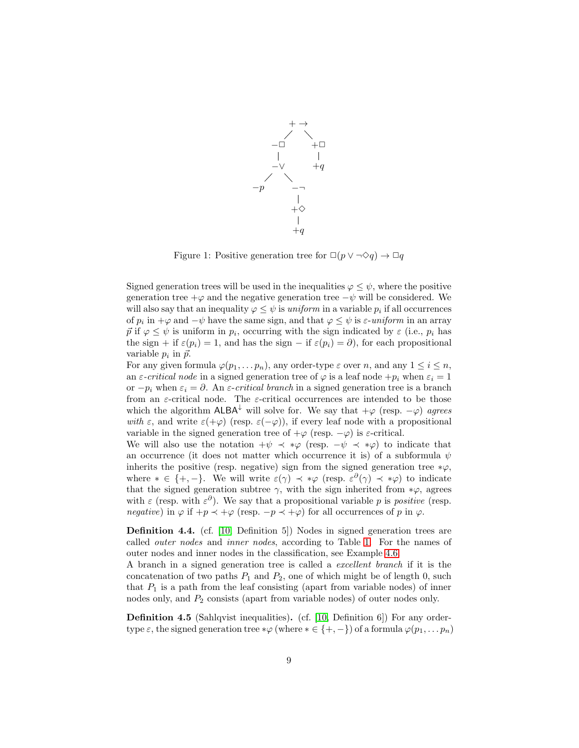

<span id="page-8-0"></span>Figure 1: Positive generation tree for  $\Box(p \lor \neg \Diamond q) \to \Box q$ 

Signed generation trees will be used in the inequalities  $\varphi \leq \psi$ , where the positive generation tree  $+\varphi$  and the negative generation tree  $-\psi$  will be considered. We will also say that an inequality  $\varphi \leq \psi$  is *uniform* in a variable  $p_i$  if all occurrences of  $p_i$  in  $+\varphi$  and  $-\psi$  have the same sign, and that  $\varphi \leq \psi$  is  $\varepsilon$ -uniform in an array  $\vec{p}$  if  $\varphi \leq \psi$  is uniform in  $p_i$ , occurring with the sign indicated by  $\varepsilon$  (i.e.,  $p_i$  has the sign + if  $\varepsilon(p_i) = 1$ , and has the sign – if  $\varepsilon(p_i) = \partial$ , for each propositional variable  $p_i$  in  $\vec{p}$ .

For any given formula  $\varphi(p_1, \ldots, p_n)$ , any order-type  $\varepsilon$  over n, and any  $1 \leq i \leq n$ , an  $\varepsilon$ -*critical node* in a signed generation tree of  $\varphi$  is a leaf node  $+p_i$  when  $\varepsilon_i = 1$ or  $-p_i$  when  $\varepsilon_i = \partial$ . An  $\varepsilon$ -*critical branch* in a signed generation tree is a branch from an  $\varepsilon$ -critical node. The  $\varepsilon$ -critical occurrences are intended to be those which the algorithm  $A L B A^{\downarrow}$  will solve for. We say that  $+\varphi$  (resp.  $-\varphi$ ) *agrees with*  $\varepsilon$ , and write  $\varepsilon(+\varphi)$  (resp.  $\varepsilon(-\varphi)$ ), if every leaf node with a propositional variable in the signed generation tree of  $+\varphi$  (resp.  $-\varphi$ ) is  $\varepsilon$ -critical.

We will also use the notation  $+\psi \prec * \varphi$  (resp.  $-\psi \prec * \varphi$ ) to indicate that an occurrence (it does not matter which occurrence it is) of a subformula  $\psi$ inherits the positive (resp. negative) sign from the signed generation tree  $*\varphi$ , where  $* \in \{+, -\}.$  We will write  $\varepsilon(\gamma) \prec \ast \varphi$  (resp.  $\varepsilon^{\partial}(\gamma) \prec \ast \varphi$ ) to indicate that the signed generation subtree  $\gamma$ , with the sign inherited from  $*\varphi$ , agrees with  $\varepsilon$  (resp. with  $\varepsilon^{\partial}$ ). We say that a propositional variable p is *positive* (resp. *negative*) in  $\varphi$  if  $+p \prec +\varphi$  (resp.  $-p \prec +\varphi$ ) for all occurrences of p in  $\varphi$ .

Definition 4.4. (cf. [\[10,](#page-32-11) Definition 5]) Nodes in signed generation trees are called *outer nodes* and *inner nodes*, according to Table [1.](#page-9-1) For the names of outer nodes and inner nodes in the classification, see Example [4.6.](#page-9-2)

A branch in a signed generation tree is called a *excellent branch* if it is the concatenation of two paths  $P_1$  and  $P_2$ , one of which might be of length 0, such that  $P_1$  is a path from the leaf consisting (apart from variable nodes) of inner nodes only, and  $P_2$  consists (apart from variable nodes) of outer nodes only.

Definition 4.5 (Sahlqvist inequalities). (cf. [\[10,](#page-32-11) Definition 6]) For any ordertype  $\varepsilon$ , the signed generation tree  $*\varphi$  (where  $*\in \{+, -\}$ ) of a formula  $\varphi(p_1, \ldots p_n)$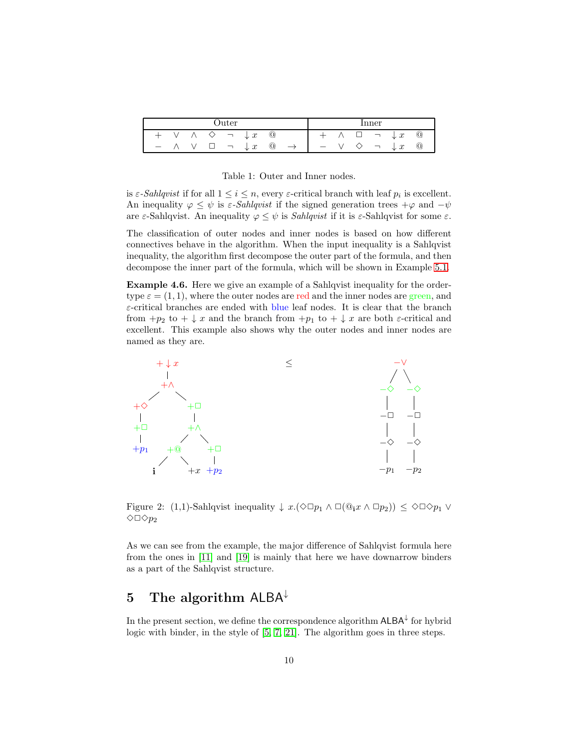| Juter             |  |  |  |        |                               | <i>inner</i> |                                                                                                   |  |  |  |                          |                |            |
|-------------------|--|--|--|--------|-------------------------------|--------------|---------------------------------------------------------------------------------------------------|--|--|--|--------------------------|----------------|------------|
|                   |  |  |  | $\Box$ | $\downarrow x$                | $\omega$     |                                                                                                   |  |  |  | $\Box$ $\lnot$ .         | $\downarrow x$ | $^{\rm o}$ |
| $\qquad \qquad -$ |  |  |  |        | $\Box$ $\lnot$ $\downarrow$ x | $\omega$     | $\rightarrow$ $\rightarrow$ $\rightarrow$ $\rightarrow$ $\rightarrow$ $\rightarrow$ $\rightarrow$ |  |  |  | $\diamondsuit$ $\lnot$ . | $\downarrow x$ | $^{\circ}$ |

<span id="page-9-1"></span>Table 1: Outer and Inner nodes.

is  $\varepsilon$ -*Sahlqvist* if for all  $1 \leq i \leq n$ , every  $\varepsilon$ -critical branch with leaf  $p_i$  is excellent. An inequality  $\varphi \leq \psi$  is  $\varepsilon$ -*Sahlqvist* if the signed generation trees  $+\varphi$  and  $-\psi$ are  $\varepsilon$ -Sahlqvist. An inequality  $\varphi \leq \psi$  is *Sahlqvist* if it is  $\varepsilon$ -Sahlqvist for some  $\varepsilon$ .

The classification of outer nodes and inner nodes is based on how different connectives behave in the algorithm. When the input inequality is a Sahlqvist inequality, the algorithm first decompose the outer part of the formula, and then decompose the inner part of the formula, which will be shown in Example [5.1.](#page-15-0)

<span id="page-9-2"></span>Example 4.6. Here we give an example of a Sahlqvist inequality for the ordertype  $\varepsilon = (1, 1)$ , where the outer nodes are red and the inner nodes are green, and ε-critical branches are ended with blue leaf nodes. It is clear that the branch from  $+p_2$  to  $+\downarrow x$  and the branch from  $+p_1$  to  $+\downarrow x$  are both  $\varepsilon$ -critical and excellent. This example also shows why the outer nodes and inner nodes are named as they are.



Figure 2: (1,1)-Sahlqvist inequality  $\downarrow x.(\Diamond \Box p_1 \land \Box (\mathbb{Q}_i x \land \Box p_2)) \leq \Diamond \Box \Diamond p_1 \lor \Box p_2$  $\Diamond \Box \Diamond p_2$ 

As we can see from the example, the major difference of Sahlqvist formula here from the ones in [\[11\]](#page-32-2) and [\[19\]](#page-32-8) is mainly that here we have downarrow binders as a part of the Sahlqvist structure.

## <span id="page-9-0"></span>5 The algorithm  $A L B A^{\downarrow}$

In the present section, we define the correspondence algorithm  $\mathsf{ALBA}^{\downarrow}$  for hybrid logic with binder, in the style of [\[5,](#page-31-6) [7,](#page-31-7) [21\]](#page-32-9). The algorithm goes in three steps.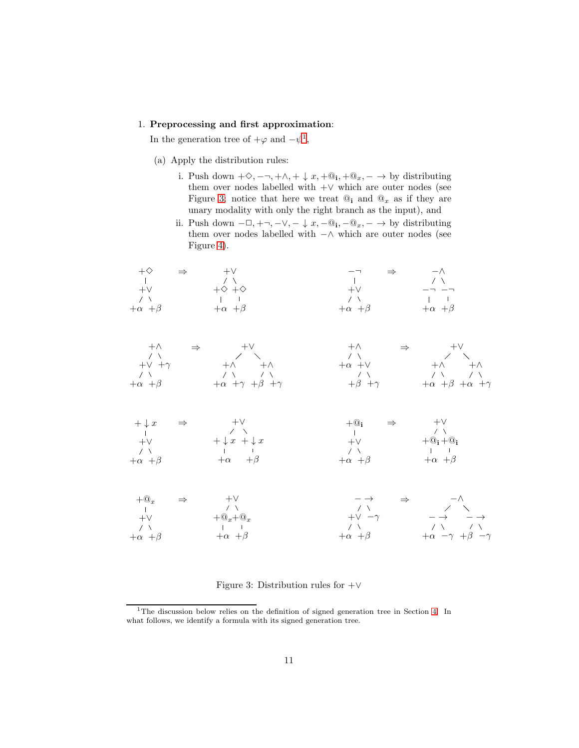#### 1. Preprocessing and first approximation:

In the generation tree of  $+\varphi$  and  $-\psi^1$  $-\psi^1$ ,

- (a) Apply the distribution rules:
	- i. Push down  $+\Diamond, -\neg, +\wedge, +\downarrow x, +@_{i}, +@_{x}, -\rightarrow$  by distributing them over nodes labelled with +∨ which are outer nodes (see Figure [3;](#page-10-1) notice that here we treat  $\mathbb{Q}_i$  and  $\mathbb{Q}_x$  as if they are unary modality with only the right branch as the input), and
	- ii. Push down  $-\Box, +\neg, -\lor, -\downarrow x, -\mathbb{Q}_1, -\mathbb{Q}_x, -\to$  by distributing them over nodes labelled with −∧ which are outer nodes (see Figure [4\)](#page-11-0).





| $+\downarrow x$   | $\Rightarrow$ | $+V$                              | $+@:$<br>$\Rightarrow$ | $+V$                                   |
|-------------------|---------------|-----------------------------------|------------------------|----------------------------------------|
|                   |               | $\sqrt{2}$                        |                        | 7 X                                    |
| $+V$              |               | $+\downarrow x + \downarrow x$    | $+V$                   | $+@{\scriptstyle i}+@{\scriptstyle i}$ |
| $\sim$ / $\sim$   |               | and the state of the state of the | $\sim$ / $\sim$        | <b>The Contract Contract</b>           |
| $+\alpha + \beta$ |               | $+\alpha$ $+\beta$                | $+\alpha +\beta$       | $+\alpha$ $+\beta$                     |

| $+@_{r}$           | $\Rightarrow$ | $+V$               | $- \rightarrow$    | $\Rightarrow$ |                                        | $-\wedge$                     |  |
|--------------------|---------------|--------------------|--------------------|---------------|----------------------------------------|-------------------------------|--|
|                    |               | $\sim$ $\sim$      | $\sim$ / $\sim$    |               |                                        | $\angle$ $\sqrt{ }$           |  |
| $+V$               |               | $+@_{r}+@_{r}$     | $+V -\gamma$       |               |                                        | $-\rightarrow$ $-\rightarrow$ |  |
| $\sim$ / $\sim$    |               | and the control of | $\sqrt{2}$         |               |                                        | フーマー アーマー                     |  |
| $+\alpha$ $+\beta$ |               | $+\alpha$ $+\beta$ | $+\alpha$ $+\beta$ |               | $+\alpha$ $-\gamma$ $+\beta$ $-\gamma$ |                               |  |

<span id="page-10-1"></span>Figure 3: Distribution rules for  $+\vee$ 

<span id="page-10-0"></span><sup>&</sup>lt;sup>1</sup>The discussion below relies on the definition of signed generation tree in Section [4.](#page-7-0) In what follows, we identify a formula with its signed generation tree.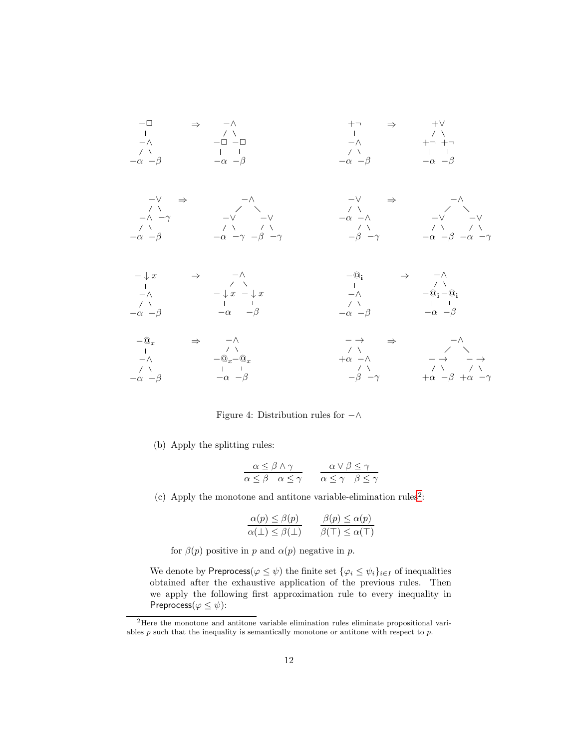

<span id="page-11-0"></span>Figure 4: Distribution rules for −∧

(b) Apply the splitting rules:

$$
\begin{array}{ccc}\n\alpha \leq \beta \wedge \gamma & \alpha \vee \beta \leq \gamma \\
\alpha \leq \beta & \alpha \leq \gamma & \alpha \leq \gamma & \beta \leq \gamma\n\end{array}
$$

(c) Apply the monotone and antitone variable-elimination rules<sup>[2](#page-11-1)</sup>:

$$
\frac{\alpha(p) \le \beta(p)}{\alpha(\perp) \le \beta(\perp)} \qquad \frac{\beta(p) \le \alpha(p)}{\beta(\top) \le \alpha(\top)}
$$

for  $\beta(p)$  positive in p and  $\alpha(p)$  negative in p.

We denote by Preprocess( $\varphi \leq \psi$ ) the finite set  $\{\varphi_i \leq \psi_i\}_{i \in I}$  of inequalities obtained after the exhaustive application of the previous rules. Then we apply the following first approximation rule to every inequality in Preprocess( $\varphi \leq \psi$ ):

<span id="page-11-1"></span><sup>2</sup>Here the monotone and antitone variable elimination rules eliminate propositional variables  $p$  such that the inequality is semantically monotone or antitone with respect to  $p$ .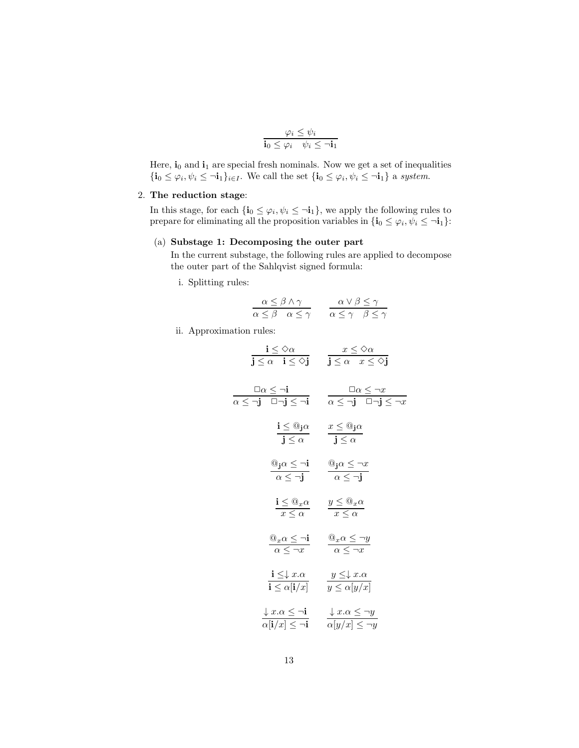$$
\frac{\varphi_i \leq \psi_i}{\mathbf{i}_0 \leq \varphi_i \quad \psi_i \leq \neg \mathbf{i}_1}
$$

Here,  $\mathbf{i}_0$  and  $\mathbf{i}_1$  are special fresh nominals. Now we get a set of inequalities  ${\bf i}_0 \leq \varphi_i, \psi_i \leq \neg {\bf i}_1\}_{i \in I}$ . We call the set  ${\bf i}_0 \leq \varphi_i, \psi_i \leq \neg {\bf i}_1$  a system.

#### 2. The reduction stage:

In this stage, for each  $\{i_0 \leq \varphi_i, \psi_i \leq \neg i_1\}$ , we apply the following rules to prepare for eliminating all the proposition variables in  $\{\mathbf{i}_0 \leq \varphi_i, \psi_i \leq \neg \mathbf{i}_1\}$ :

#### (a) Substage 1: Decomposing the outer part

In the current substage, the following rules are applied to decompose the outer part of the Sahlqvist signed formula:

i. Splitting rules:

$$
\frac{\alpha \le \beta \land \gamma}{\alpha \le \beta \quad \alpha \le \gamma} \qquad \frac{\alpha \lor \beta \le \gamma}{\alpha \le \gamma \quad \beta \le \gamma}
$$

ii. Approximation rules:

$$
\frac{\mathbf{i} \leq \Diamond \alpha}{\mathbf{j} \leq \alpha \quad \mathbf{i} \leq \Diamond \mathbf{j}} \qquad \frac{x \leq \Diamond \alpha}{\mathbf{j} \leq \alpha \quad x \leq \Diamond \mathbf{j}}
$$
\n
$$
\frac{\Box \alpha \leq \neg \mathbf{i}}{\alpha \leq \neg \mathbf{j} \quad \Box \neg \mathbf{j} \leq \neg \mathbf{i}} \qquad \frac{\Box \alpha \leq \neg x}{\alpha \leq \neg \mathbf{j} \quad \Box \neg \mathbf{j} \leq \neg x}
$$
\n
$$
\frac{\mathbf{i} \leq @_{\mathbf{j}} \alpha}{\mathbf{j} \leq \alpha} \qquad \frac{x \leq @_{\mathbf{j}} \alpha}{\mathbf{j} \leq \alpha}
$$
\n
$$
\frac{@_{\mathbf{j}} \alpha \leq \neg \mathbf{i}}{\alpha \leq \neg \mathbf{j}} \qquad \frac{@_{\mathbf{j}} \alpha \leq \neg x}{\alpha \leq \neg \mathbf{j}}
$$
\n
$$
\frac{\mathbf{i} \leq @_{x} \alpha}{x \leq \alpha} \qquad \frac{y \leq @_{x} \alpha}{x \leq \alpha}
$$
\n
$$
\frac{@_{x} \alpha \leq \neg \mathbf{i}}{\alpha \leq \neg x} \qquad \frac{@_{x} \alpha \leq \neg y}{\alpha \leq \neg x}
$$
\n
$$
\frac{\mathbf{i} \leq \downarrow x \cdot \alpha}{\mathbf{i} \leq \alpha [\mathbf{i}/x]} \qquad \frac{y \leq \downarrow x \cdot \alpha}{y \leq \alpha [y/x]}
$$
\n
$$
\frac{\downarrow x \cdot \alpha \leq \neg \mathbf{i}}{\alpha [\mathbf{i}/x] \leq \neg \mathbf{i}} \qquad \frac{\downarrow x \cdot \alpha \leq \neg y}{\alpha [y/x] \leq \neg y}
$$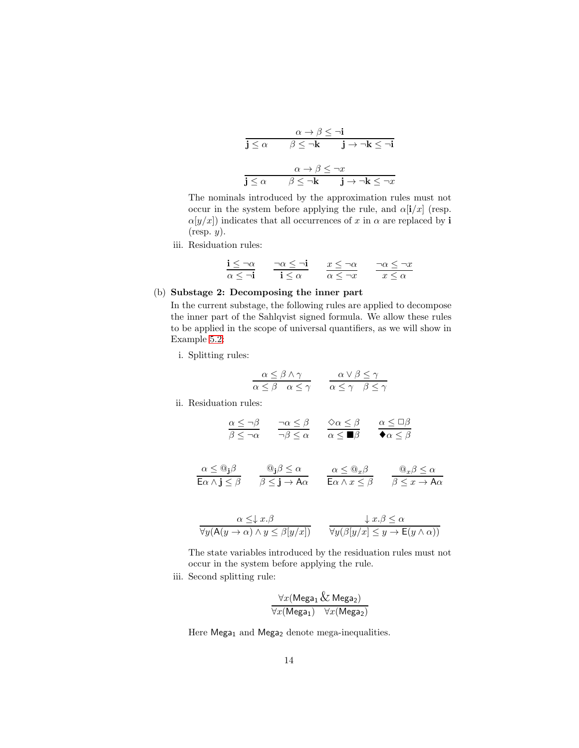$$
\frac{\alpha \to \beta \leq \neg i}{j \leq \alpha \qquad \beta \leq \neg k \qquad j \to \neg k \leq \neg i}
$$

$$
\frac{\alpha \to \beta \leq \neg x}{j \leq \alpha \qquad \beta \leq \neg k \qquad j \to \neg k \leq \neg x}
$$

The nominals introduced by the approximation rules must not occur in the system before applying the rule, and  $\alpha[i/x]$  (resp.  $\alpha[y/x]$  indicates that all occurrences of x in  $\alpha$  are replaced by i  $(r \exp. y)$ .

iii. Residuation rules:

$$
\frac{\mathbf{i} \leq \neg \alpha}{\alpha \leq \neg \mathbf{i}} \qquad \frac{\neg \alpha \leq \neg \mathbf{i}}{\mathbf{i} \leq \alpha} \qquad \frac{x \leq \neg \alpha}{\alpha \leq \neg x} \qquad \frac{\neg \alpha \leq \neg x}{x \leq \alpha}
$$

#### (b) Substage 2: Decomposing the inner part

In the current substage, the following rules are applied to decompose the inner part of the Sahlqvist signed formula. We allow these rules to be applied in the scope of universal quantifiers, as we will show in Example [5.2:](#page-17-0)

i. Splitting rules:

$$
\frac{\alpha \le \beta \land \gamma}{\alpha \le \beta \quad \alpha \le \gamma} \qquad \frac{\alpha \lor \beta \le \gamma}{\alpha \le \gamma \quad \beta \le \gamma}
$$

ii. Residuation rules:

$$
\begin{array}{ccc} \underline{\alpha \leq \neg \beta} & \frac{\neg \alpha \leq \beta}{\neg \beta \leq \alpha} & \frac{\Diamond \alpha \leq \beta}{\alpha \leq \blacksquare \beta} & \frac{\alpha \leq \Box \beta}{\blacklozenge \alpha \leq \beta} \end{array}
$$

 $\alpha \leq @_{\bf j}\beta$ Eα  $\land$  j  $\leq \beta$  $@{\bf j} \beta \leq \alpha$  $\beta \leq \mathbf{j} \rightarrow \mathsf{A} \alpha$  $\alpha \leq \mathbb{Q}_x \beta$ Eα  $\land$   $x \leq \beta$  $@_{x}\beta \leq \alpha$  $\beta \leq x \rightarrow \mathsf{A}\alpha$ 

$$
\frac{\alpha \leq \downarrow x.\beta}{\forall y (\mathsf{A}(y \to \alpha) \land y \leq \beta[y/x])} \qquad \frac{\downarrow x.\beta \leq \alpha}{\forall y (\beta[y/x] \leq y \to \mathsf{E}(y \land \alpha))}
$$

The state variables introduced by the residuation rules must not occur in the system before applying the rule.

iii. Second splitting rule:

$$
\frac{\forall x (\text{Mega}_1 \& \text{Mega}_2)}{\forall x (\text{Mega}_1) \quad \forall x (\text{Mega}_2)}
$$

Here Mega<sub>1</sub> and Mega<sub>2</sub> denote mega-inequalities.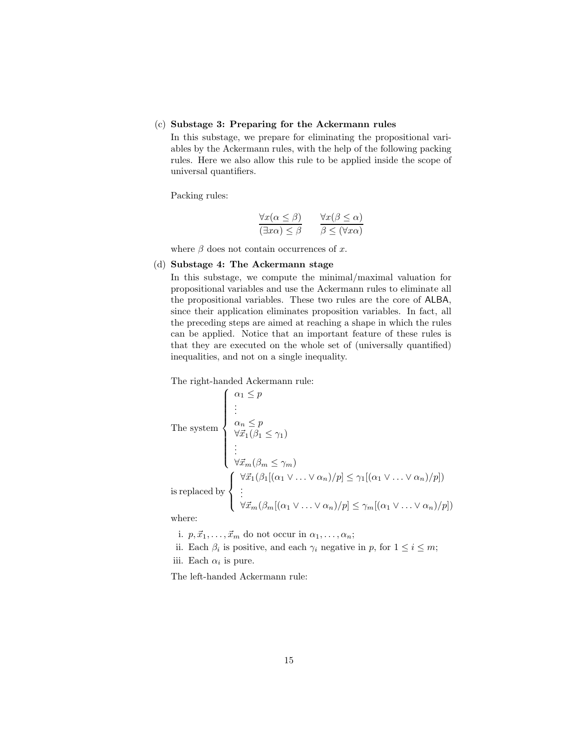#### (c) Substage 3: Preparing for the Ackermann rules

In this substage, we prepare for eliminating the propositional variables by the Ackermann rules, with the help of the following packing rules. Here we also allow this rule to be applied inside the scope of universal quantifiers.

Packing rules:

$$
\frac{\forall x (\alpha \le \beta)}{(\exists x \alpha) \le \beta} \qquad \frac{\forall x (\beta \le \alpha)}{\beta \le (\forall x \alpha)}
$$

where  $\beta$  does not contain occurrences of x.

#### (d) Substage 4: The Ackermann stage

In this substage, we compute the minimal/maximal valuation for propositional variables and use the Ackermann rules to eliminate all the propositional variables. These two rules are the core of ALBA, since their application eliminates proposition variables. In fact, all the preceding steps are aimed at reaching a shape in which the rules can be applied. Notice that an important feature of these rules is that they are executed on the whole set of (universally quantified) inequalities, and not on a single inequality.

The right-handed Ackermann rule:

The system\n
$$
\begin{cases}\n\alpha_1 \leq p \\
\vdots \\
\alpha_n \leq p \\
\forall \vec{x}_1 (\beta_1 \leq \gamma_1) \\
\vdots \\
\forall \vec{x}_m (\beta_m \leq \gamma_m)\n\end{cases}
$$
\nis replaced by\n
$$
\begin{cases}\n\forall \vec{x}_1 (\beta_1 [(\alpha_1 \vee \dots \vee \alpha_n)/p] \leq \gamma_1 [(\alpha_1 \vee \dots \vee \alpha_n)/p]) \\
\vdots \\
\forall \vec{x}_m (\beta_m [(\alpha_1 \vee \dots \vee \alpha_n)/p] \leq \gamma_m [(\alpha_1 \vee \dots \vee \alpha_n)/p])\n\end{cases}
$$

where:

i.  $p, \vec{x}_1, \ldots, \vec{x}_m$  do not occur in  $\alpha_1, \ldots, \alpha_n;$ 

ii. Each  $\beta_i$  is positive, and each  $\gamma_i$  negative in p, for  $1 \leq i \leq m$ ;

iii. Each  $\alpha_i$  is pure.

The left-handed Ackermann rule: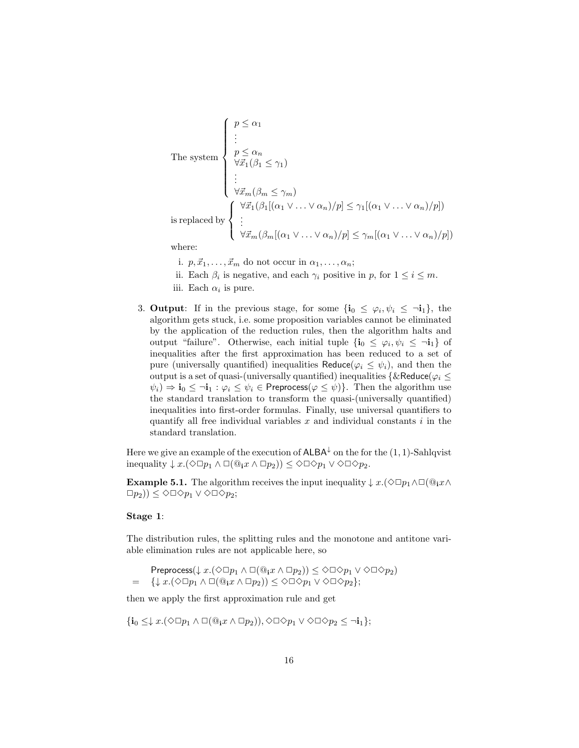The system\n
$$
\begin{cases}\n p \leq \alpha_1 \\
 \vdots \\
 p \leq \alpha_n \\
 \forall \vec{x}_1 (\beta_1 \leq \gamma_1) \\
 \vdots \\
 \forall \vec{x}_m (\beta_m \leq \gamma_m)\n\end{cases}
$$
\nis replaced by\n
$$
\begin{cases}\n \forall \vec{x}_1 (\beta_1 [(\alpha_1 \vee \dots \vee \alpha_n)/p] \leq \gamma_1 [(\alpha_1 \vee \dots \vee \alpha_n)/p]) \\
 \vdots \\
 \forall \vec{x}_m (\beta_m [(\alpha_1 \vee \dots \vee \alpha_n)/p] \leq \gamma_m [(\alpha_1 \vee \dots \vee \alpha_n)/p])\n\end{cases}
$$
\nwhere:

i.  $p, \vec{x}_1, \ldots, \vec{x}_m$  do not occur in  $\alpha_1, \ldots, \alpha_n;$ 

ii. Each  $\beta_i$  is negative, and each  $\gamma_i$  positive in p, for  $1 \leq i \leq m$ .

3. **Output**: If in the previous stage, for some  $\{\mathbf{i}_0 \leq \varphi_i, \psi_i \leq \neg \mathbf{i}_1\}$ , the algorithm gets stuck, i.e. some proposition variables cannot be eliminated by the application of the reduction rules, then the algorithm halts and output "failure". Otherwise, each initial tuple  $\{i_0 \leq \varphi_i, \psi_i \leq \neg i_1\}$  of inequalities after the first approximation has been reduced to a set of pure (universally quantified) inequalities Reduce( $\varphi_i \leq \psi_i$ ), and then the output is a set of quasi-(universally quantified) inequalities {&Reduce( $\varphi_i \leq$  $\psi_i$ )  $\Rightarrow$  **i**<sub>0</sub>  $\leq$   $\neg$ **i**<sub>1</sub> :  $\varphi_i \leq \psi_i \in$  **Preprocess**( $\varphi \leq \psi$ )}. Then the algorithm use the standard translation to transform the quasi-(universally quantified) inequalities into first-order formulas. Finally, use universal quantifiers to quantify all free individual variables  $x$  and individual constants  $i$  in the standard translation.

Here we give an example of the execution of  $\mathsf{ALBA}^\downarrow$  on the for the  $(1,1)$ -Sahlqvist inequality  $\downarrow x.(\Diamond \Box p_1 \land \Box(\Theta_1 x \land \Box p_2)) \leq \Diamond \Box \Diamond p_1 \lor \Diamond \Box \Diamond p_2.$ 

<span id="page-15-0"></span>**Example 5.1.** The algorithm receives the input inequality  $\downarrow x.(\Diamond \Box p_1 \land \Box (\Theta_i x \land \Box p_2))$  $\Box p_2)$ )  $\leq \Diamond \Box \Diamond p_1 \vee \Diamond \Box \Diamond p_2;$ 

#### Stage 1:

The distribution rules, the splitting rules and the monotone and antitone variable elimination rules are not applicable here, so

$$
\text{Preprocess}(\downarrow x.(\lozenge \Box p_1 \land \Box(\textcircled{a}_i x \land \Box p_2)) \leq \lozenge \Box \lozenge p_1 \lor \lozenge \Box \lozenge p_2) = \{\downarrow x.(\lozenge \Box p_1 \land \Box(\textcircled{a}_i x \land \Box p_2)) \leq \lozenge \Box \lozenge p_1 \lor \lozenge \Box \lozenge p_2\};
$$

then we apply the first approximation rule and get

$$
\{{\bf i}_0\leq \downarrow x.(\Diamond \Box p_1\wedge \Box(\textbf{0}_{\bf i}x\wedge \Box p_2)),\Diamond \Box \Diamond p_1\vee \Diamond \Box \Diamond p_2\leq \neg {\bf i}_1\};
$$

iii. Each  $\alpha_i$  is pure.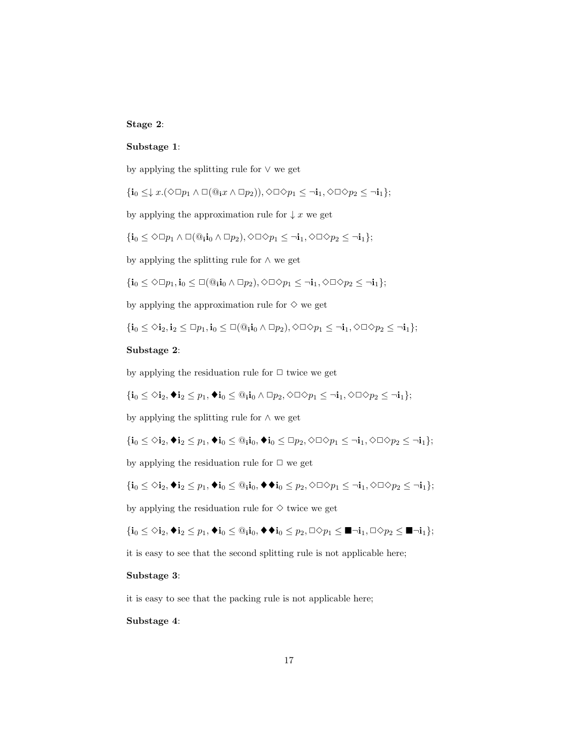#### Stage 2:

#### Substage 1:

by applying the splitting rule for  $\vee$  we get

$$
\{{\bf i}_0\leq \downarrow x.(\Diamond\Box p_1\wedge \Box(\Theta_{\bf i}x\wedge \Box p_2)),\Diamond\Box\Diamond p_1\leq \neg {\bf i}_1, \Diamond\Box\Diamond p_2\leq \neg {\bf i}_1\};
$$

by applying the approximation rule for  $\downarrow x$  we get

$$
\{{\bf i}_0 \leq \Diamond \Box p_1 \wedge \Box (\copyright_{{\bf i}} {\bf i}_0 \wedge \Box p_2), \Diamond \Box \Diamond p_1 \leq \neg {\bf i}_1, \Diamond \Box \Diamond p_2 \leq \neg {\bf i}_1\};
$$

by applying the splitting rule for ∧ we get

$$
\{{\bf i}_0\leq \Diamond\Box p_1,{\bf i}_0\leq\Box(\textbf{0}_{{\bf i}}{\bf i}_0\wedge\Box p_2),\Diamond\Box\Diamond p_1\leq\lnot{\bf i}_1,\Diamond\Box\Diamond p_2\leq\lnot{\bf i}_1\};
$$

by applying the approximation rule for  $\diamondsuit$  we get

$$
\{{\bf i}_0\leq \diamondsuit {\bf i}_2, {\bf i}_2\leq \Box p_1, {\bf i}_0\leq \Box (\textbf{0}_{{\bf i}}{\bf i}_0\wedge \Box p_2), \diamondsuit\Box \diamondsuit p_1\leq \neg {\bf i}_1, \diamondsuit\Box \diamondsuit p_2\leq \neg {\bf i}_1\};
$$

#### Substage 2:

by applying the residuation rule for  $\Box$  twice we get

$$
\{{\bf i}_0\leq \diamondsuit {\bf i}_2,\blacklozenge {\bf i}_2\leq p_1, \blacklozenge {\bf i}_0\leq \textcircled{1} {\bf i}_0\land \square p_2, \diamondsuit \square \diamondsuit p_1\leq \neg {\bf i}_1, \diamondsuit \square \diamondsuit p_2\leq \neg {\bf i}_1\};
$$

by applying the splitting rule for ∧ we get

$$
\{{\bf i}_0\leq \diamondsuit {\bf i}_2, \blacklozenge {\bf i}_2\leq p_1, \blacklozenge {\bf i}_0\leq \textcircled{u}_{{\bf i}{\bf i}_0}, \blacklozenge {\bf i}_0\leq \textcircled{1} p_2, \lozenge \textcircled{1} \diamondsuit p_1\leq \neg {\bf i}_1, \lozenge \textcircled{1} \diamondsuit p_2\leq \neg {\bf i}_1\};
$$

by applying the residuation rule for  $\Box$  we get

$$
\{{\bf i}_0\leq \diamondsuit {\bf i}_2,\blacklozenge {\bf i}_2\leq p_1, \blacklozenge {\bf i}_0\leq \textcircled{a}_{{\bf i}{\bf i}_0},\blacklozenge \blacklozenge {\bf i}_0\leq p_2,\lozenge \square \diamondsuit p_1\leq \neg {\bf i}_1,\lozenge \square \diamondsuit p_2\leq \neg {\bf i}_1\};
$$

by applying the residuation rule for  $\diamond$  twice we get

$$
\{{\mathbf i}_0\leq \diamondsuit {\mathbf i}_2, \blacklozenge {\mathbf i}_2\leq p_1, \blacklozenge {\mathbf i}_0 \leq @_{{\mathbf i}{\mathbf i}_0}, \blacklozenge \blacklozenge {\mathbf i}_0 \leq p_2, \square \diamondsuit p_1 \leq \blacksquare \neg {\mathbf i}_1, \square \diamondsuit p_2 \leq \blacksquare \neg {\mathbf i}_1\};
$$

it is easy to see that the second splitting rule is not applicable here;

#### Substage 3:

it is easy to see that the packing rule is not applicable here;

#### Substage 4: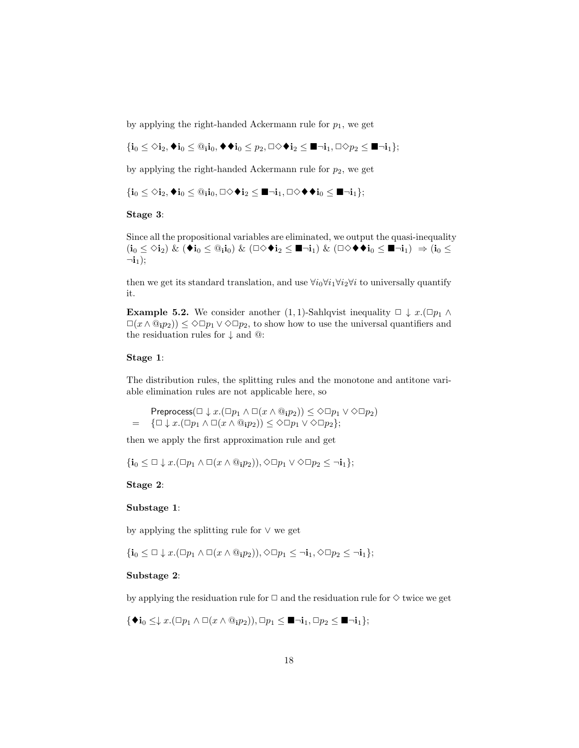by applying the right-handed Ackermann rule for  $p_1$ , we get

 ${i_0 \leq \diamond i_2, \blacklozenge i_0 \leq \mathbf{0}_i i_0, \blacklozenge \blacklozenge i_0 \leq p_2, \square \diamond \blacklozenge i_2 \leq \blacksquare \neg i_1, \square \diamond \rho_2 \leq \blacksquare \neg i_1};$ 

by applying the right-handed Ackermann rule for  $p_2$ , we get

 ${i_0 \leq \diamond i_2, \blacklozenge i_0 \leq \mathbb{Q}_i i_0, \square \diamond \blacklozenge i_2 \leq \blacksquare \neg i_1, \square \diamond \blacklozenge \blacklozenge i_0 \leq \blacksquare \neg i_1};$ 

#### Stage 3:

Since all the propositional variables are eliminated, we output the quasi-inequality  $(\mathbf{i}_0 \leq \Diamond \mathbf{i}_2) \& (\mathbf{\blacklozenge} \mathbf{i}_0 \leq \mathbf{\textcircled{\textsf{a}}}_1 \mathbf{i}_0) \& (\Box \Diamond \mathbf{\blacklozenge} \mathbf{i}_2 \leq \blacksquare \neg \mathbf{i}_1) \& (\Box \Diamond \mathbf{\blacklozenge} \mathbf{\blacklozenge} \mathbf{i}_0 \leq \blacksquare \neg \mathbf{i}_1) \Rightarrow (\mathbf{i}_0 \leq \Box \Diamond \mathbf{\blacklozenge} \mathbf{i}_0) \& (\Box \Diamond \mathbf{\blacklozenge} \mathbf{i}_0) \& (\Box \Diamond \mathbf{\blacklozenge} \mathbf{i}_0) \Rightarrow$  $\neg i_1$ );

then we get its standard translation, and use  $\forall i_0 \forall i_1 \forall i_2 \forall i$  to universally quantify it.

<span id="page-17-0"></span>**Example 5.2.** We consider another (1, 1)-Sahlqvist inequality  $\Box \downarrow x$ .( $\Box p_1 \wedge \Box p_2$ )  $\Box(x \wedge \mathbb{Q}_i p_2)) \leq \Diamond \Box p_1 \vee \Diamond \Box p_2$ , to show how to use the universal quantifiers and the residuation rules for  $\downarrow$  and @:

#### Stage 1:

The distribution rules, the splitting rules and the monotone and antitone variable elimination rules are not applicable here, so

Preprocess( $\Box \downarrow x.(\Box p_1 \land \Box(x \land \mathbb{Q}_1 p_2)) \leq \Diamond \Box p_1 \lor \Diamond \Box p_2$ )  $= \{\Box \downarrow x.(\Box p_1 \wedge \Box(x \wedge @_1p_2)) \leq \Diamond \Box p_1 \vee \Diamond \Box p_2\};$ 

then we apply the first approximation rule and get

 $\{i_0 \leq \Box \downarrow x.(\Box p_1 \land \Box(x \land \mathbb{Q}_i p_2)), \Diamond \Box p_1 \lor \Diamond \Box p_2 \leq \neg i_1\};$ 

Stage 2:

#### Substage 1:

by applying the splitting rule for ∨ we get

 $\{\mathbf{i}_0 \leq \Box \downarrow x.(\Box p_1 \land \Box(x \land \mathbb{Q}_i p_2)), \Diamond \Box p_1 \leq \neg \mathbf{i}_1, \Diamond \Box p_2 \leq \neg \mathbf{i}_1\};$ 

#### Substage 2:

by applying the residuation rule for  $\Box$  and the residuation rule for  $\diamond$  twice we get

 $\{\blacklozenge\mathbf{i}_0 \leq \downarrow x.(\Box p_1 \land \Box(x \land \mathbb{Q}_i p_2)), \Box p_1 \leq \blacksquare \neg \mathbf{i}_1, \Box p_2 \leq \blacksquare \neg \mathbf{i}_1\};$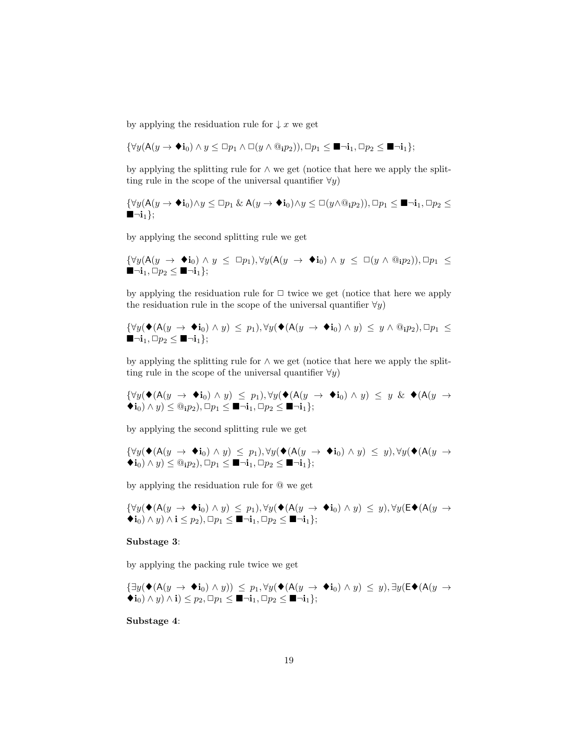by applying the residuation rule for  $\downarrow x$  we get

$$
\{\forall y (\mathsf{A}(y \to \mathbf{\blacklozenge} \mathbf{i}_0) \land y \leq \Box p_1 \land \Box(y \land \textcircled{\scriptsize{a}}_i p_2)), \Box p_1 \leq \blacksquare \neg \mathbf{i}_1, \Box p_2 \leq \blacksquare \neg \mathbf{i}_1\};
$$

by applying the splitting rule for ∧ we get (notice that here we apply the splitting rule in the scope of the universal quantifier  $\forall y$ )

$$
\{\forall y (\mathsf{A}(y \to \blacklozenge \mathbf{i}_0) \land y \leq \Box p_1 \& \mathsf{A}(y \to \blacklozenge \mathbf{i}_0) \land y \leq \Box(y \land \textcircled{a}_i p_2)), \Box p_1 \leq \blacksquare \neg \mathbf{i}_1, \Box p_2 \leq \blacksquare \neg \mathbf{i}_1\};
$$

by applying the second splitting rule we get

$$
\{\forall y (\mathsf{A}(y \to \bullet i_0) \land y \leq \Box p_1), \forall y (\mathsf{A}(y \to \bullet i_0) \land y \leq \Box (y \land @_i p_2)), \Box p_1 \leq \blacksquare \neg i_1, \Box p_2 \leq \blacksquare \neg i_1\};
$$

by applying the residuation rule for  $\Box$  twice we get (notice that here we apply the residuation rule in the scope of the universal quantifier  $\forall y$ )

$$
\{\forall y (\blacklozenge(A(y \to \blacklozenge i_0) \land y) \le p_1), \forall y (\blacklozenge(A(y \to \blacklozenge i_0) \land y) \le y \land \textcircled{a}_{i} p_2), \Box p_1 \le \blacksquare \neg i_1, \Box p_2 \le \blacksquare \neg i_1\};
$$

by applying the splitting rule for ∧ we get (notice that here we apply the splitting rule in the scope of the universal quantifier  $\forall y$ )

 ${\forall y (\blacklozenge(A(y \rightarrow \blacklozenge i_0) \land y) \le p_1), \forall y (\blacklozenge(A(y \rightarrow \blacklozenge i_0) \land y) \le y \& \blacklozenge(A(y \rightarrow \blacklozenge i_0) \land y))$  $\langle \bullet i_0 \rangle \wedge y \rangle \leq \mathbb{Q}_i p_2, \Box p_1 \leq \blacksquare \neg i_1, \Box p_2 \leq \blacksquare \neg i_1 \};$ 

by applying the second splitting rule we get

$$
\{\forall y (\blacklozenge(A(y \rightarrow \blacklozenge i_0) \land y) \le p_1), \forall y (\blacklozenge(A(y \rightarrow \blacklozenge i_0) \land y) \le y), \forall y (\blacklozenge(A(y \rightarrow \blacklozenge i_0) \land y) \le @_{i}p_2), \Box p_1 \le \blacksquare \neg i_1, \Box p_2 \le \blacksquare \neg i_1\};
$$

by applying the residuation rule for @ we get

$$
\{\forall y (\blacklozenge(A(y \rightarrow \blacklozenge i_0) \land y) \le p_1), \forall y (\blacklozenge(A(y \rightarrow \blacklozenge i_0) \land y) \le y), \forall y (\mathsf{E} \blacklozenge(A(y \rightarrow \blacklozenge i_0) \land y) \land i \le p_2), \Box p_1 \le \blacksquare \neg i_1, \Box p_2 \le \blacksquare \neg i_1\};
$$

#### Substage 3:

by applying the packing rule twice we get

$$
\{\exists y (\blacklozenge(A(y \rightarrow \blacklozenge i_0) \land y)) \le p_1, \forall y (\blacklozenge(A(y \rightarrow \blacklozenge i_0) \land y) \le y), \exists y (\mathsf{E} \blacklozenge(A(y \rightarrow \blacklozenge i_0) \land y) \land i) \le p_2, \Box p_1 \le \blacksquare \neg i_1, \Box p_2 \le \blacksquare \neg i_1\};
$$

Substage 4: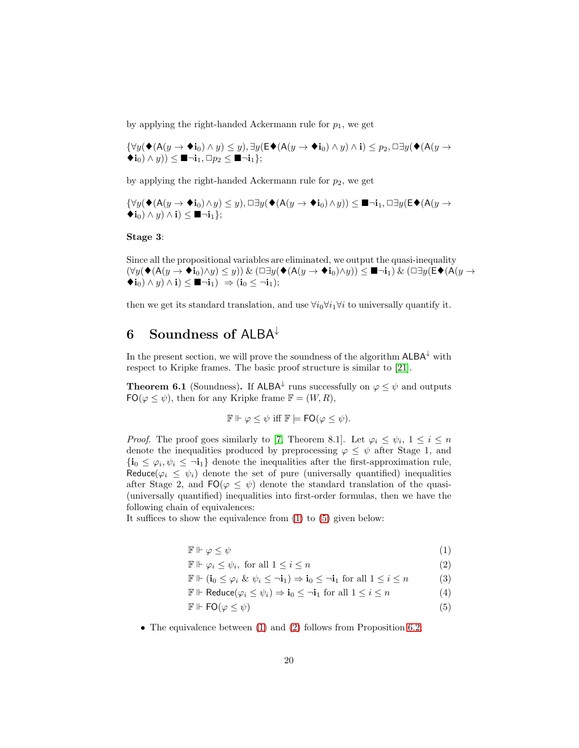by applying the right-handed Ackermann rule for  $p_1$ , we get

$$
\{\forall y (\blacklozenge(A(y \to \blacklozenge i_0) \land y) \leq y), \exists y (\mathsf{E} \blacklozenge(A(y \to \blacklozenge i_0) \land y) \land i) \leq p_2, \Box \exists y (\blacklozenge(A(y \to \blacklozenge i_0) \land y)) \leq \blacksquare \neg i_1, \Box p_2 \leq \blacksquare \neg i_1\};
$$

by applying the right-handed Ackermann rule for  $p_2$ , we get

$$
\{\forall y (\blacklozenge(A(y \to \blacklozenge i_0) \land y) \leq y), \Box \exists y (\blacklozenge(A(y \to \blacklozenge i_0) \land y)) \leq \blacksquare \neg i_1, \Box \exists y (\mathsf{E} \blacklozenge(A(y \to \blacklozenge i_0) \land y) \land i) \leq \blacksquare \neg i_1\};
$$

Stage 3:

Since all the propositional variables are eliminated, we output the quasi-inequality  $(\forall y(\blacklozenge(A(y \to \blacklozenge i_0) \land y) \le y))$  &  $(\Box \exists y(\blacklozenge(A(y \to \blacklozenge i_0) \land y)) \le \blacksquare \neg i_1)$  &  $(\Box \exists y(\mathsf{E} \blacklozenge(A(y \to \blacklozenge i_0) \land y))$  $\langle \mathbf{t}_0 \rangle \wedge y \rangle \wedge \mathbf{i} \rangle \leq \blacksquare \neg \mathbf{i}_1 \rangle \Rightarrow (\mathbf{i}_0 \leq \neg \mathbf{i}_1);$ 

then we get its standard translation, and use  $\forall i_0 \forall i_1 \forall i$  to universally quantify it.

## <span id="page-19-0"></span>6 Soundness of ALBA<sup>↓</sup>

In the present section, we will prove the soundness of the algorithm  $\mathsf{ALBA}^\downarrow$  with respect to Kripke frames. The basic proof structure is similar to [\[21\]](#page-32-9).

**Theorem 6.1** (Soundness). If ALBA<sup> $\downarrow$ </sup> runs successfully on  $\varphi \leq \psi$  and outputs  $FO(\varphi \leq \psi)$ , then for any Kripke frame  $\mathbb{F} = (W, R)$ ,

$$
\mathbb{F} \Vdash \varphi \leq \psi \text{ iff } \mathbb{F} \models \mathsf{FO}(\varphi \leq \psi).
$$

*Proof.* The proof goes similarly to [\[7,](#page-31-7) Theorem 8.1]. Let  $\varphi_i \leq \psi_i, 1 \leq i \leq n$ denote the inequalities produced by preprocessing  $\varphi \leq \psi$  after Stage 1, and  ${\bf i}_0 \leq \varphi_i, \psi_i \leq \neg {\bf i}_1$  denote the inequalities after the first-approximation rule, Reduce( $\varphi_i \leq \psi_i$ ) denote the set of pure (universally quantified) inequalities after Stage 2, and  $FO(\varphi \leq \psi)$  denote the standard translation of the quasi-(universally quantified) inequalities into first-order formulas, then we have the following chain of equivalences:

It suffices to show the equivalence from [\(1\)](#page-19-1) to [\(5\)](#page-19-1) given below:

<span id="page-19-1"></span>
$$
\mathbb{F} \Vdash \varphi \le \psi \tag{1}
$$

$$
\mathbb{F} \Vdash \varphi_i \le \psi_i, \text{ for all } 1 \le i \le n \tag{2}
$$

$$
\mathbb{F} \Vdash (\mathbf{i}_0 \le \varphi_i \& \psi_i \le \neg \mathbf{i}_1) \Rightarrow \mathbf{i}_0 \le \neg \mathbf{i}_1 \text{ for all } 1 \le i \le n \tag{3}
$$

$$
\mathbb{F} \Vdash \text{Reduce}(\varphi_i \le \psi_i) \Rightarrow \mathbf{i}_0 \le \neg \mathbf{i}_1 \text{ for all } 1 \le i \le n \tag{4}
$$

- $\mathbb{F} \Vdash \mathsf{FO}(\varphi \leq \psi)$  (5)
- The equivalence between [\(1\)](#page-19-1) and [\(2\)](#page-19-1) follows from Proposition [6.2;](#page-20-0)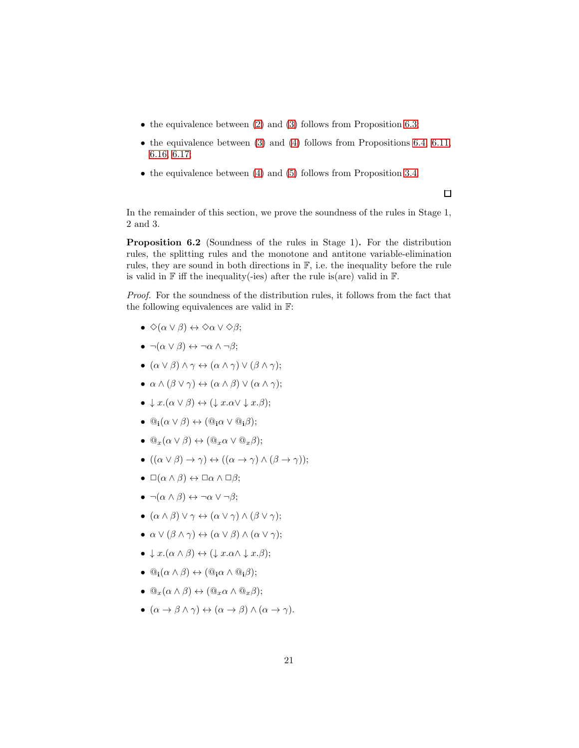- $\bullet$  the equivalence between [\(2\)](#page-19-1) and [\(3\)](#page-19-1) follows from Proposition [6.3;](#page-21-0)
- the equivalence between  $(3)$  and  $(4)$  follows from Propositions [6.4,](#page-22-0) [6.11,](#page-24-0) [6.16,](#page-26-0) [6.17;](#page-27-0)
- $\bullet$  the equivalence between [\(4\)](#page-19-1) and [\(5\)](#page-19-1) follows from Proposition [3.4.](#page-7-1)

 $\Box$ 

In the remainder of this section, we prove the soundness of the rules in Stage 1, 2 and 3.

<span id="page-20-0"></span>Proposition 6.2 (Soundness of the rules in Stage 1). For the distribution rules, the splitting rules and the monotone and antitone variable-elimination rules, they are sound in both directions in  $\mathbb{F}$ , i.e. the inequality before the rule is valid in  $\mathbb F$  iff the inequality(-ies) after the rule is(are) valid in  $\mathbb F$ .

*Proof.* For the soundness of the distribution rules, it follows from the fact that the following equivalences are valid in F:

- $\bullet \Diamond(\alpha \lor \beta) \leftrightarrow \Diamond \alpha \lor \Diamond \beta;$
- $\bullet \ \neg(\alpha \lor \beta) \leftrightarrow \neg \alpha \land \neg \beta;$
- $(\alpha \vee \beta) \wedge \gamma \leftrightarrow (\alpha \wedge \gamma) \vee (\beta \wedge \gamma);$
- $\alpha \wedge (\beta \vee \gamma) \leftrightarrow (\alpha \wedge \beta) \vee (\alpha \wedge \gamma);$
- $\downarrow x.(\alpha \vee \beta) \leftrightarrow (\downarrow x. \alpha \vee \downarrow x. \beta);$
- $\mathbb{Q}_i(\alpha \vee \beta) \leftrightarrow (\mathbb{Q}_i \alpha \vee \mathbb{Q}_i \beta);$
- $\mathbb{Q}_x(\alpha \vee \beta) \leftrightarrow (\mathbb{Q}_x \alpha \vee \mathbb{Q}_x \beta);$
- $((\alpha \vee \beta) \rightarrow \gamma) \leftrightarrow ((\alpha \rightarrow \gamma) \wedge (\beta \rightarrow \gamma));$
- $\Box(\alpha \land \beta) \leftrightarrow \Box \alpha \land \Box \beta;$
- $\bullet \ \neg(\alpha \land \beta) \leftrightarrow \neg \alpha \lor \neg \beta;$
- $(\alpha \wedge \beta) \vee \gamma \leftrightarrow (\alpha \vee \gamma) \wedge (\beta \vee \gamma);$
- $\alpha \vee (\beta \wedge \gamma) \leftrightarrow (\alpha \vee \beta) \wedge (\alpha \vee \gamma);$
- $\bullet \downarrow x.(\alpha \wedge \beta) \leftrightarrow (\downarrow x. \alpha \wedge \downarrow x. \beta);$
- $\mathbb{Q}_i(\alpha \wedge \beta) \leftrightarrow (\mathbb{Q}_i \alpha \wedge \mathbb{Q}_i \beta);$
- $@_{x}(\alpha \wedge \beta) \leftrightarrow (@_{x}\alpha \wedge @_{x}\beta);$
- $(\alpha \to \beta \land \gamma) \leftrightarrow (\alpha \to \beta) \land (\alpha \to \gamma).$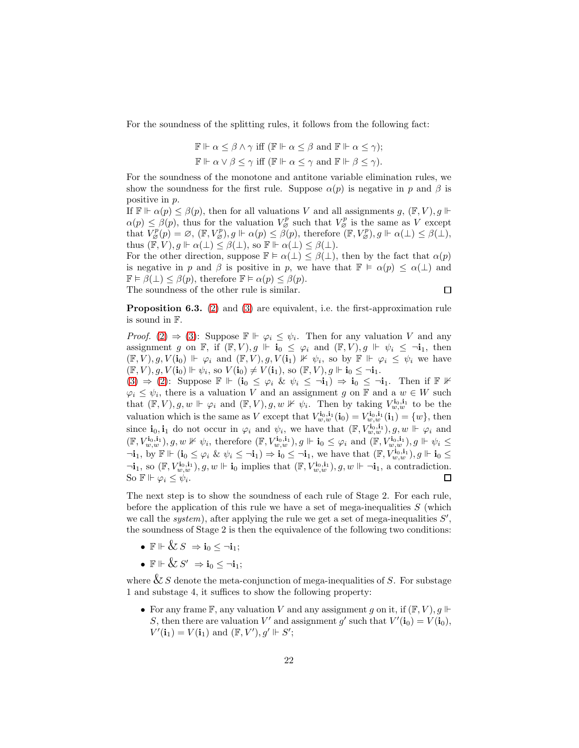For the soundness of the splitting rules, it follows from the following fact:

$$
\mathbb{F} \Vdash \alpha \leq \beta \land \gamma \text{ iff } (\mathbb{F} \Vdash \alpha \leq \beta \text{ and } \mathbb{F} \Vdash \alpha \leq \gamma);
$$
  

$$
\mathbb{F} \Vdash \alpha \lor \beta \leq \gamma \text{ iff } (\mathbb{F} \Vdash \alpha \leq \gamma \text{ and } \mathbb{F} \Vdash \beta \leq \gamma).
$$

For the soundness of the monotone and antitone variable elimination rules, we show the soundness for the first rule. Suppose  $\alpha(p)$  is negative in p and  $\beta$  is positive in p.

If  $\mathbb{F} \Vdash \alpha(p) \leq \beta(p)$ , then for all valuations V and all assignments  $g$ ,  $(\mathbb{F}, V)$ ,  $g \Vdash$  $\alpha(p) \leq \beta(p)$ , thus for the valuation  $V_{\varnothing}^p$  such that  $V_{\varnothing}^p$  is the same as V except that  $V_{\beta}^p(p) = \varnothing, (\mathbb{F}, V_{\beta}^p), g \Vdash \alpha(p) \leq \tilde{\beta}(p)$ , therefore  $(\mathbb{F}, V_{\beta}^p), g \Vdash \alpha(\bot) \leq \beta(\bot)$ , thus  $(\mathbb{F}, V), g \Vdash \alpha(\perp) \leq \beta(\perp),$  so  $\mathbb{F} \Vdash \alpha(\perp) \leq \beta(\perp)$ .

For the other direction, suppose  $\mathbb{F} \models \alpha(\perp) \leq \beta(\perp)$ , then by the fact that  $\alpha(p)$ is negative in p and  $\beta$  is positive in p, we have that  $\mathbb{F} \models \alpha(p) \leq \alpha(\perp)$  and  $\mathbb{F} \models \beta(\perp) \leq \beta(p)$ , therefore  $\mathbb{F} \models \alpha(p) \leq \beta(p)$ . The soundness of the other rule is similar.  $\Box$ 

<span id="page-21-0"></span>Proposition 6.3. [\(2\)](#page-19-1) and [\(3\)](#page-19-1) are equivalent, i.e. the first-approximation rule is sound in F.

*Proof.* [\(2\)](#page-19-1)  $\Rightarrow$  [\(3\)](#page-19-1): Suppose  $\mathbb{F} \Vdash \varphi_i \leq \psi_i$ . Then for any valuation V and any assignment g on F, if  $(F, V), g \Vdash i_0 \leq \varphi_i$  and  $(F, V), g \Vdash \psi_i \leq \neg i_1$ , then  $(\mathbb{F}, V), g, V(\mathbf{i}_0) \Vdash \varphi_i$  and  $(\mathbb{F}, V), g, V(\mathbf{i}_1) \nvDash \psi_i$ , so by  $\mathbb{F} \Vdash \varphi_i \leq \psi_i$  we have  $(\mathbb{F}, V), g, V(\mathbf{i}_0) \Vdash \psi_i$ , so  $V(\mathbf{i}_0) \neq V(\mathbf{i}_1)$ , so  $(\mathbb{F}, V), g \Vdash \mathbf{i}_0 \leq \neg \mathbf{i}_1$ .

 $(3) \Rightarrow (2)$  $(3) \Rightarrow (2)$  $(3) \Rightarrow (2)$ : Suppose  $\mathbb{F} \Vdash (i_0 \leq \varphi_i \& \psi_i \leq \neg i_1) \Rightarrow i_0 \leq \neg i_1$ . Then if  $\mathbb{F} \nvDash$  $\varphi_i \leq \psi_i$ , there is a valuation V and an assignment g on F and a  $w \in W$  such that  $(\mathbb{F}, V), g, w \Vdash \varphi_i$  and  $(\mathbb{F}, V), g, w \nvDash \psi_i$ . Then by taking  $V_{w,w}^{i_0,i_1}$  to be the valuation which is the same as V except that  $V_{w,w}^{i_0,i_1}(i_0) = V_{w,w}^{i_0,i_1}(i_1) = \{w\}$ , then since  $\mathbf{i}_0, \mathbf{i}_1$  do not occur in  $\varphi_i$  and  $\psi_i$ , we have that  $(\mathbb{F}, V_{w,w}^{i_0, \mathbf{i}_1}), g, w \Vdash \varphi_i$  and  $(\mathbb{F}, V_{w,w}^{i_0,i_1}), g, w \nVdash \psi_i$ , therefore  $(\mathbb{F}, V_{w,w}^{i_0,i_1}), g \Vdash \mathbf{i}_0 \leq \varphi_i$  and  $(\mathbb{F}, V_{w,w}^{i_0,i_1}), g \Vdash \psi_i \leq \varphi_i$  $\ni_{\mathbf{i}}$ , by  $\mathbb{F} \Vdash (\mathbf{i}_0 \leq \varphi_i \& \psi_i \leq \mathbf{i}_1) \Rightarrow \mathbf{i}_0 \leq \mathbf{i}_1$ , we have that  $(\mathbb{F}, V_{w,w}^{\mathbf{i}_0, \mathbf{i}_1}), g \Vdash \mathbf{i}_0 \leq \mathbf{i}_1$  $\neg \mathbf{i}_1$ , so  $(\mathbb{F}, V_{w,w}^{\mathbf{i}_0, \mathbf{i}_1}), g, w \Vdash \mathbf{i}_0$  implies that  $(\mathbb{F}, V_{w,w}^{\mathbf{i}_0, \mathbf{i}_1}), g, w \Vdash \neg \mathbf{i}_1$ , a contradiction. So  $\mathbb{F} \Vdash \varphi_i \leq \psi_i$ .  $\Box$ 

The next step is to show the soundness of each rule of Stage 2. For each rule, before the application of this rule we have a set of mega-inequalities  $S$  (which we call the  $system$ , after applying the rule we get a set of mega-inequalities  $S'$ , the soundness of Stage 2 is then the equivalence of the following two conditions:

- $\mathbb{F} \Vdash \& S \Rightarrow \mathbf{i}_0 \leq \neg \mathbf{i}_1;$
- $\bullet\ \mathbb{F} \Vdash \&\ S'\ \Rightarrow \mathbf{i}_0 \leq \neg \mathbf{i}_1;$

where  $&$  S denote the meta-conjunction of mega-inequalities of S. For substage 1 and substage 4, it suffices to show the following property:

• For any frame  $\mathbb{F}$ , any valuation V and any assignment q on it, if  $(\mathbb{F}, V)$ , q  $\mathbb{F}$ S, then there are valuation V' and assignment g' such that  $V'(\mathbf{i}_0) = V(\mathbf{i}_0)$ ,  $V'(\mathbf{i}_1) = V(\mathbf{i}_1)$  and  $(\mathbb{F}, V'), g' \Vdash S';$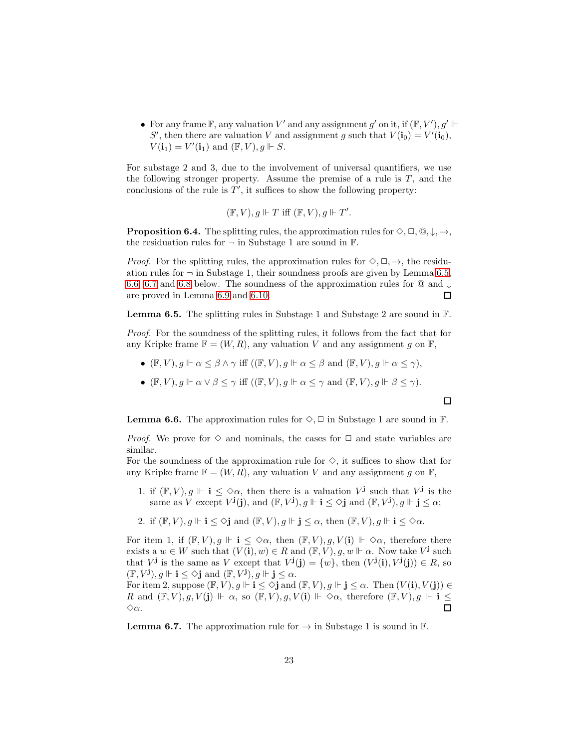• For any frame  $\mathbb{F}$ , any valuation  $V'$  and any assignment  $g'$  on it, if  $(\mathbb{F}, V'), g' \Vdash$ S', then there are valuation V and assignment g such that  $V(\mathbf{i}_0) = V'(\mathbf{i}_0)$ ,  $V(\mathbf{i}_1) = V'(\mathbf{i}_1)$  and  $(\mathbb{F}, V), g \Vdash S$ .

For substage 2 and 3, due to the involvement of universal quantifiers, we use the following stronger property. Assume the premise of a rule is  $T$ , and the conclusions of the rule is  $T'$ , it suffices to show the following property:

$$
(\mathbb{F}, V), g \Vdash T \text{ iff } (\mathbb{F}, V), g \Vdash T'.
$$

<span id="page-22-0"></span>**Proposition 6.4.** The splitting rules, the approximation rules for  $\Diamond$ ,  $\Box$ ,  $\mathbb{Q}, \downarrow$ ,  $\rightarrow$ , the residuation rules for  $\neg$  in Substage 1 are sound in  $\mathbb{F}$ .

*Proof.* For the splitting rules, the approximation rules for  $\Diamond, \Box, \rightarrow$ , the residuation rules for  $\neg$  in Substage 1, their soundness proofs are given by Lemma [6.5,](#page-22-1) [6.6,](#page-22-2) [6.7](#page-22-3) and [6.8](#page-23-0) below. The soundness of the approximation rules for  $\Omega$  and  $\downarrow$ are proved in Lemma [6.9](#page-23-1) and [6.10.](#page-24-1)  $\Box$ 

<span id="page-22-1"></span>**Lemma 6.5.** The splitting rules in Substage 1 and Substage 2 are sound in  $\mathbb{F}$ .

*Proof.* For the soundness of the splitting rules, it follows from the fact that for any Kripke frame  $\mathbb{F} = (W, R)$ , any valuation V and any assignment g on  $\mathbb{F}$ ,

- $(\mathbb{F}, V), g \Vdash \alpha \leq \beta \wedge \gamma$  iff  $((\mathbb{F}, V), g \Vdash \alpha \leq \beta$  and  $(\mathbb{F}, V), g \Vdash \alpha \leq \gamma)$ ,
- $(\mathbb{F}, V), g \Vdash \alpha \lor \beta \leq \gamma$  iff  $((\mathbb{F}, V), g \Vdash \alpha \leq \gamma$  and  $(\mathbb{F}, V), g \Vdash \beta \leq \gamma$ .

口

<span id="page-22-2"></span>**Lemma 6.6.** The approximation rules for  $\diamondsuit$ ,  $\Box$  in Substage 1 are sound in  $\mathbb{F}$ .

*Proof.* We prove for  $\diamond$  and nominals, the cases for  $\Box$  and state variables are similar.

For the soundness of the approximation rule for  $\diamondsuit$ , it suffices to show that for any Kripke frame  $\mathbb{F} = (W, R)$ , any valuation V and any assignment g on  $\mathbb{F}$ ,

- 1. if  $(\mathbb{F}, V), g \Vdash i \leq \Diamond \alpha$ , then there is a valuation  $V^j$  such that  $V^j$  is the same as V except  $V^{\mathbf{j}}(\mathbf{j})$ , and  $(\mathbb{F}, V^{\mathbf{j}}), g \Vdash \mathbf{i} \leq \Diamond \mathbf{j}$  and  $(\mathbb{F}, V^{\mathbf{j}}), g \Vdash \mathbf{j} \leq \alpha$ ;
- 2. if  $(\mathbb{F}, V)$ ,  $q \Vdash \mathbf{i} < \Diamond \mathbf{i}$  and  $(\mathbb{F}, V)$ ,  $q \Vdash \mathbf{i} < \alpha$ , then  $(\mathbb{F}, V)$ ,  $q \Vdash \mathbf{i} < \Diamond \alpha$ .

For item 1, if  $(\mathbb{F}, V), g \Vdash i \leq \Diamond \alpha$ , then  $(\mathbb{F}, V), g, V(i) \Vdash \Diamond \alpha$ , therefore there exists a  $w \in W$  such that  $(V(i), w) \in R$  and  $(\mathbb{F}, V), g, w \Vdash \alpha$ . Now take V<sup>j</sup> such that  $V^{\mathbf{j}}$  is the same as V except that  $V^{\mathbf{j}}(\mathbf{j}) = \{w\}$ , then  $(V^{\mathbf{j}}(\mathbf{i}), V^{\mathbf{j}}(\mathbf{j})) \in R$ , so  $(\mathbb{F}, V^{\mathbf{j}}), g \Vdash \mathbf{i} \leq \Diamond \mathbf{j}$  and  $(\mathbb{F}, V^{\mathbf{j}}), g \Vdash \mathbf{j} \leq \alpha$ .

For item 2, suppose  $(\mathbb{F}, V), g \Vdash \mathbf{i} \leq \Diamond \mathbf{j}$  and  $(\mathbb{F}, V), g \Vdash \mathbf{j} \leq \alpha$ . Then  $(V(\mathbf{i}), V(\mathbf{j})) \in$ R and  $(\mathbb{F}, V), g, V(\mathbf{j}) \Vdash \alpha$ , so  $(\mathbb{F}, V), g, V(\mathbf{i}) \Vdash \Diamond \alpha$ , therefore  $(\mathbb{F}, V), g \Vdash \mathbf{i} \leq$  $\diamond \alpha$ .

<span id="page-22-3"></span>**Lemma 6.7.** The approximation rule for  $\rightarrow$  in Substage 1 is sound in  $\mathbb{F}$ .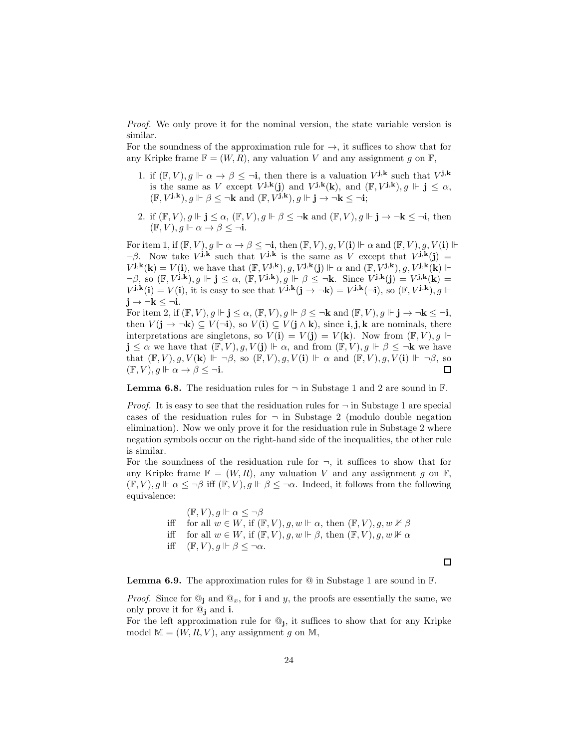*Proof.* We only prove it for the nominal version, the state variable version is similar.

For the soundness of the approximation rule for  $\rightarrow$ , it suffices to show that for any Kripke frame  $\mathbb{F} = (W, R)$ , any valuation V and any assignment g on  $\mathbb{F}$ ,

- 1. if  $(\mathbb{F}, V), g \Vdash \alpha \to \beta \leq \neg i$ , then there is a valuation  $V^{j,k}$  such that  $V^{j,k}$ is the same as V except  $V^{j,k}(j)$  and  $V^{j,k}(k)$ , and  $(\mathbb{F}, V^{j,k})$ ,  $g \Vdash j \leq \alpha$ ,  $(\mathbb{F}, V^{\mathbf{j}, \mathbf{k}}), g \Vdash \beta \leq \neg \mathbf{k} \text{ and } (\mathbb{F}, V^{\mathbf{j}, \mathbf{k}}), g \Vdash \mathbf{j} \to \neg \mathbf{k} \leq \neg \mathbf{i};$
- 2. if  $(\mathbb{F}, V), g \Vdash \mathbf{j} \leq \alpha$ ,  $(\mathbb{F}, V), g \Vdash \beta \leq \neg \mathbf{k}$  and  $(\mathbb{F}, V), g \Vdash \mathbf{j} \to \neg \mathbf{k} \leq \neg \mathbf{i}$ , then  $(\mathbb{F}, V), q \Vdash \alpha \rightarrow \beta \leq \neg i.$

For item 1, if  $(\mathbb{F}, V), g \Vdash \alpha \to \beta \leq \neg i$ , then  $(\mathbb{F}, V), g, V(i) \Vdash \alpha$  and  $(\mathbb{F}, V), g, V(i) \Vdash$  $\neg \beta$ . Now take  $V^{j,k}$  such that  $V^{j,k}$  is the same as V except that  $V^{j,k}(j)$  =  $V^{j,k}(\mathbf{k}) = V(\mathbf{i}),$  we have that  $(\mathbb{F}, V^{j,k}), g, V^{j,k}(\mathbf{j}) \Vdash \alpha$  and  $(\mathbb{F}, V^{j,k}), g, V^{j,k}(\mathbf{k}) \Vdash$  $\neg \beta$ , so  $(\mathbb{F}, V^{j,k})$ ,  $g \Vdash j \leq \alpha$ ,  $(\mathbb{F}, V^{j,k})$ ,  $g \Vdash \beta \leq \neg k$ . Since  $V^{j,k}(j) = V^{j,k}(k) =$  $V^{j,k}(i) = V(i)$ , it is easy to see that  $V^{j,k}(j \to \neg k) = V^{j,k}(\neg i)$ , so  $(\mathbb{F}, V^{j,k})$ ,  $g \Vdash$  $j \rightarrow \neg k \leq \neg i$ .

For item 2, if  $(\mathbb{F}, V), g \Vdash j \leq \alpha$ ,  $(\mathbb{F}, V), g \Vdash \beta \leq \neg k$  and  $(\mathbb{F}, V), g \Vdash j \to \neg k \leq \neg i$ , then  $V(j \to \neg k) \subseteq V(\neg i)$ , so  $V(i) \subseteq V(j \wedge k)$ , since  $i, j, k$  are nominals, there interpretations are singletons, so  $V(\mathbf{i}) = V(\mathbf{j}) = V(\mathbf{k})$ . Now from  $(\mathbb{F}, V), g \Vdash$  $\mathbf{j} \leq \alpha$  we have that  $(\mathbb{F}, V), g, V(\mathbf{j}) \Vdash \alpha$ , and from  $(\mathbb{F}, V), g \Vdash \beta \leq \neg \mathbf{k}$  we have that  $(\mathbb{F}, V), g, V(\mathbf{k}) \Vdash \neg \beta$ , so  $(\mathbb{F}, V), g, V(\mathbf{i}) \Vdash \alpha$  and  $(\mathbb{F}, V), g, V(\mathbf{i}) \Vdash \neg \beta$ , so  $(\mathbb{F}, V), g \Vdash \alpha \to \beta \leq \neg i.$  $\Box$ 

<span id="page-23-0"></span>**Lemma 6.8.** The residuation rules for  $\neg$  in Substage 1 and 2 are sound in  $\mathbb{F}$ .

*Proof.* It is easy to see that the residuation rules for  $\neg$  in Substage 1 are special cases of the residuation rules for  $\neg$  in Substage 2 (modulo double negation elimination). Now we only prove it for the residuation rule in Substage 2 where negation symbols occur on the right-hand side of the inequalities, the other rule is similar.

For the soundness of the residuation rule for  $\neg$ , it suffices to show that for any Kripke frame  $\mathbb{F} = (W, R)$ , any valuation V and any assignment g on  $\mathbb{F}$ ,  $(\mathbb{F}, V), g \Vdash \alpha \leq \neg \beta$  iff  $(\mathbb{F}, V), g \Vdash \beta \leq \neg \alpha$ . Indeed, it follows from the following equivalence:

> $(\mathbb{F}, V), q \Vdash \alpha \leq \neg \beta$ iff for all  $w \in W$ , if  $(\mathbb{F}, V), g, w \Vdash \alpha$ , then  $(\mathbb{F}, V), g, w \nvDash \beta$ iff for all  $w \in W$ , if  $(\mathbb{F}, V)$ ,  $g, w \Vdash \beta$ , then  $(\mathbb{F}, V)$ ,  $g, w \nvDash \alpha$ iff  $(\mathbb{F}, V), g \Vdash \beta \leq \neg \alpha$ .

> > $\Box$

<span id="page-23-1"></span>**Lemma 6.9.** The approximation rules for  $\overline{\mathbb{Q}}$  in Substage 1 are sound in  $\mathbb{F}$ .

*Proof.* Since for  $\mathbb{Q}_j$  and  $\mathbb{Q}_x$ , for **i** and y, the proofs are essentially the same, we only prove it for  $\mathbb{Q}_i$  and **i**.

For the left approximation rule for  $\mathbb{Q}_j$ , it suffices to show that for any Kripke model  $M = (W, R, V)$ , any assignment g on M,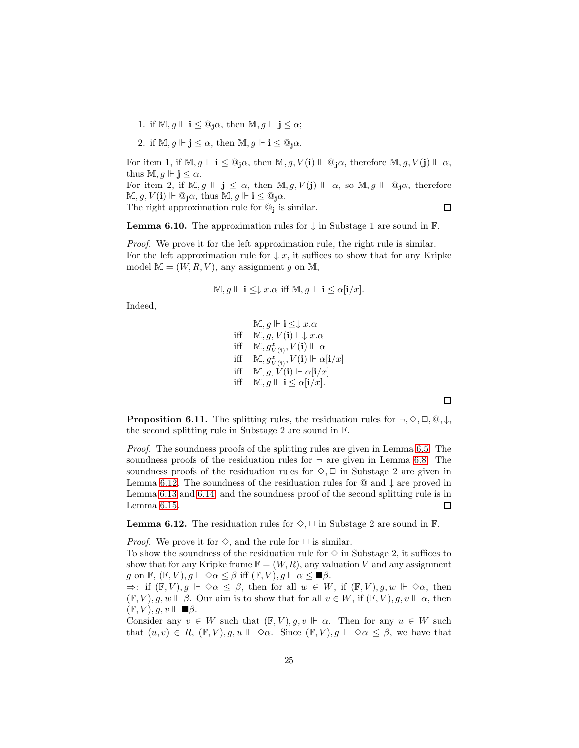- 1. if  $M, g \Vdash i \leq \mathbb{Q}_i \alpha$ , then  $M, g \Vdash j \leq \alpha$ ;
- 2. if  $\mathbb{M}, g \Vdash j \leq \alpha$ , then  $\mathbb{M}, g \Vdash i \leq \mathbb{Q}_j \alpha$ .

For item 1, if  $\mathbb{M}, g \Vdash \mathbf{i} \leq \mathbb{Q}_1 \alpha$ , then  $\mathbb{M}, g, V(\mathbf{i}) \Vdash \mathbb{Q}_1 \alpha$ , therefore  $\mathbb{M}, g, V(\mathbf{j}) \Vdash \alpha$ , thus  $M, g \Vdash j \leq \alpha$ .

For item 2, if  $M, g \Vdash j \leq \alpha$ , then  $M, g, V(j) \Vdash \alpha$ , so  $M, g \Vdash \mathbb{Q}_j \alpha$ , therefore  $\mathbb{M}, g, V(\mathbf{i}) \Vdash \mathbb{Q}_{\mathbf{i}} \alpha$ , thus  $\mathbb{M}, g \Vdash \mathbf{i} \leq \mathbb{Q}_{\mathbf{i}} \alpha$ .

The right approximation rule for  $\mathcal{Q}_j$  is similar.

 $\Box$ 

<span id="page-24-1"></span>**Lemma 6.10.** The approximation rules for  $\downarrow$  in Substage 1 are sound in  $\mathbb{F}$ .

*Proof.* We prove it for the left approximation rule, the right rule is similar. For the left approximation rule for  $\downarrow x$ , it suffices to show that for any Kripke model  $M = (W, R, V)$ , any assignment q on M,

$$
\mathbb{M}, g \Vdash \mathbf{i} \leq \downarrow x. \alpha \text{ iff } \mathbb{M}, g \Vdash \mathbf{i} \leq \alpha[\mathbf{i}/x].
$$

Indeed,

$$
\mathbb{M}, g \Vdash \mathbf{i} \leq \downarrow x.\alpha
$$
\n
$$
\text{iff} \quad \mathbb{M}, g, V(\mathbf{i}) \Vdash \downarrow x.\alpha
$$
\n
$$
\text{iff} \quad \mathbb{M}, g_{V(\mathbf{i})}^x, V(\mathbf{i}) \Vdash \alpha
$$
\n
$$
\text{iff} \quad \mathbb{M}, g_{V(\mathbf{i})}^x, V(\mathbf{i}) \Vdash \alpha[\mathbf{i}/x]
$$
\n
$$
\text{iff} \quad \mathbb{M}, g, V(\mathbf{i}) \Vdash \alpha[\mathbf{i}/x]
$$
\n
$$
\text{iff} \quad \mathbb{M}, g \Vdash \mathbf{i} \leq \alpha[\mathbf{i}/x].
$$

口

<span id="page-24-0"></span>**Proposition 6.11.** The splitting rules, the residuation rules for  $\neg, \Diamond, \Box, \mathbb{Q}, \downarrow$ , the second splitting rule in Substage 2 are sound in F.

*Proof.* The soundness proofs of the splitting rules are given in Lemma [6.5.](#page-22-1) The soundness proofs of the residuation rules for  $\neg$  are given in Lemma [6.8.](#page-23-0) The soundness proofs of the residuation rules for  $\diamondsuit$ ,  $\Box$  in Substage 2 are given in Lemma [6.12.](#page-24-2) The soundness of the residuation rules for  $@$  and  $\downarrow$  are proved in Lemma [6.13](#page-25-0) and [6.14,](#page-25-1) and the soundness proof of the second splitting rule is in Lemma [6.15.](#page-26-1)  $\Box$ 

<span id="page-24-2"></span>**Lemma 6.12.** The residuation rules for  $\diamondsuit$ ,  $\Box$  in Substage 2 are sound in  $\mathbb{F}$ .

*Proof.* We prove it for  $\Diamond$ , and the rule for  $\Box$  is similar.

To show the soundness of the residuation rule for  $\diamond$  in Substage 2, it suffices to show that for any Kripke frame  $\mathbb{F} = (W, R)$ , any valuation V and any assignment  $g$  on  $\mathbb{F}$ ,  $(\mathbb{F}, V)$ ,  $g \Vdash \Diamond \alpha \leq \beta$  iff  $(\mathbb{F}, V)$ ,  $g \Vdash \alpha \leq \blacksquare \beta$ .

 $\Rightarrow$ : if  $(\mathbb{F}, V), g \Vdash \Diamond \alpha \leq \beta$ , then for all  $w \in W$ , if  $(\mathbb{F}, V), g, w \Vdash \Diamond \alpha$ , then  $(\mathbb{F}, V), g, w \Vdash \beta$ . Our aim is to show that for all  $v \in W$ , if  $(\mathbb{F}, V), g, v \Vdash \alpha$ , then  $(\mathbb{F}, V), q, v \Vdash \blacksquare \beta.$ 

Consider any  $v \in W$  such that  $(\mathbb{F}, V), g, v \Vdash \alpha$ . Then for any  $u \in W$  such that  $(u, v) \in R$ ,  $(\mathbb{F}, V), g, u \Vdash \Diamond \alpha$ . Since  $(\mathbb{F}, V), g \Vdash \Diamond \alpha \leq \beta$ , we have that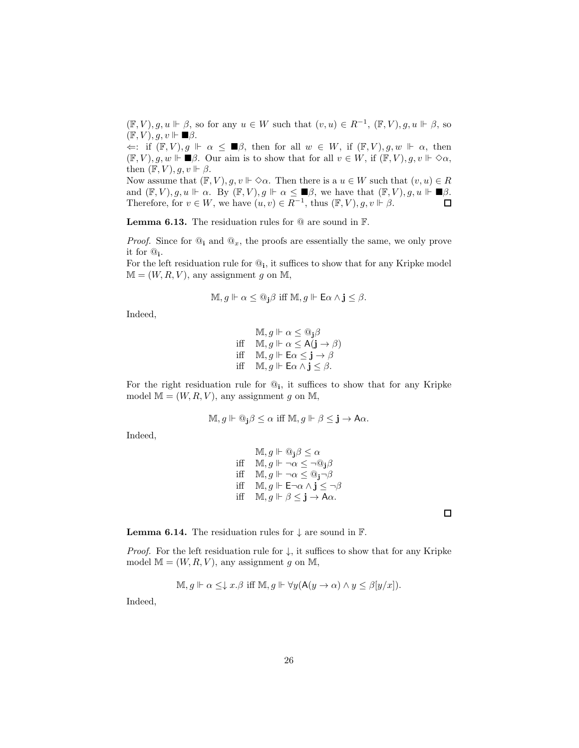$(\mathbb{F}, V), g, u \Vdash \beta$ , so for any  $u \in W$  such that  $(v, u) \in R^{-1}$ ,  $(\mathbb{F}, V), g, u \Vdash \beta$ , so  $(\mathbb{F}, V), g, v \Vdash \blacksquare \beta.$ 

 $\Leftarrow:$  if  $(\mathbb{F}, V), g \Vdash \alpha \leq \blacksquare \beta$ , then for all  $w \in W$ , if  $(\mathbb{F}, V), g, w \Vdash \alpha$ , then  $(\mathbb{F}, V), g, w \Vdash \blacksquare \beta$ . Our aim is to show that for all  $v \in W$ , if  $(\mathbb{F}, V), g, v \Vdash \Diamond \alpha$ , then  $(\mathbb{F}, V), g, v \Vdash \beta$ .

Now assume that  $(\mathbb{F}, V), g, v \Vdash \Diamond \alpha$ . Then there is a  $u \in W$  such that  $(v, u) \in R$ and  $(\mathbb{F}, V), g, u \Vdash \alpha$ . By  $(\mathbb{F}, V), g \Vdash \alpha \leq \blacksquare \beta$ , we have that  $(\mathbb{F}, V), g, u \Vdash \blacksquare \beta$ . Therefore, for  $v \in W$ , we have  $(u, v) \in R^{-1}$ , thus  $(\mathbb{F}, V), g, v \Vdash \beta$ .  $\Box$ 

<span id="page-25-0"></span>**Lemma 6.13.** The residuation rules for  $\mathbb Q$  are sound in  $\mathbb F$ .

*Proof.* Since for  $\mathbb{Q}_i$  and  $\mathbb{Q}_x$ , the proofs are essentially the same, we only prove it for @<sup>i</sup> .

For the left residuation rule for  $\mathbb{Q}_i$ , it suffices to show that for any Kripke model  $M = (W, R, V)$ , any assignment g on M,

$$
\mathbb{M}, g \Vdash \alpha \leq @_{\mathbf{j}}\beta \text{ iff } \mathbb{M}, g \Vdash \mathsf{E}\alpha \wedge \mathbf{j} \leq \beta.
$$

Indeed,

 $M, g \Vdash \alpha \leq \mathbb{Q}_1 \beta$ iff  $M, g \Vdash \alpha \leq A(j \rightarrow \beta)$ iff  $M, g \Vdash E\alpha \leq \mathbf{j} \rightarrow \beta$ iff  $M, g \Vdash \mathsf{E}\alpha \wedge \mathbf{j} \leq \beta$ .

For the right residuation rule for  $\mathbb{Q}_i$ , it suffices to show that for any Kripke model  $\mathbb{M} = (W, R, V)$ , any assignment g on M,

$$
\mathbb{M}, g \Vdash \mathbb{Q}_{\mathbf{j}}\beta \leq \alpha \text{ iff } \mathbb{M}, g \Vdash \beta \leq \mathbf{j} \to A\alpha.
$$

Indeed,

$$
\begin{array}{ll}\n\mathbb{M}, g \Vdash \mathbb{Q}_{\mathbf{j}} \beta \leq \alpha \\
\text{iff} & \mathbb{M}, g \Vdash \neg \alpha \leq \neg \mathbb{Q}_{\mathbf{j}} \beta \\
\text{iff} & \mathbb{M}, g \Vdash \neg \alpha \leq \mathbb{Q}_{\mathbf{j}} \neg \beta \\
\text{iff} & \mathbb{M}, g \Vdash \mathsf{E} \neg \alpha \land \mathbf{j} \leq \neg \beta \\
\text{iff} & \mathbb{M}, g \Vdash \beta \leq \mathbf{j} \rightarrow \mathsf{A} \alpha.\n\end{array}
$$

<span id="page-25-1"></span>**Lemma 6.14.** The residuation rules for  $\downarrow$  are sound in  $\mathbb{F}$ .

*Proof.* For the left residuation rule for  $\downarrow$ , it suffices to show that for any Kripke model  $M = (W, R, V)$ , any assignment g on M,

$$
\mathbb{M}, g \Vdash \alpha \leq \downarrow x. \beta \text{ iff } \mathbb{M}, g \Vdash \forall y (\mathsf{A}(y \to \alpha) \land y \leq \beta[y/x]).
$$

Indeed,

 $\Box$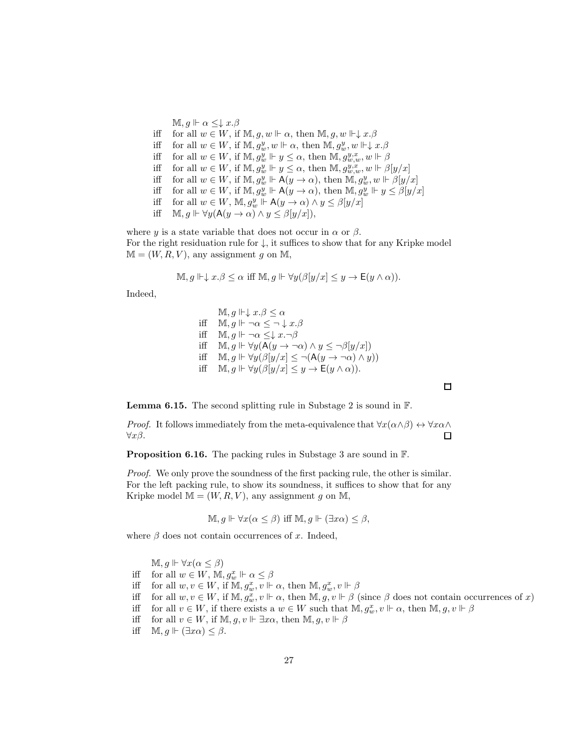$\mathbb{M}, g \Vdash \alpha \leq \downarrow x.\beta$ 

- iff for all  $w \in W$ , if  $M, g, w \Vdash \alpha$ , then  $M, g, w \Vdash \downarrow x.\beta$
- iff for all  $w \in W$ , if  $M$ ,  $g_w^y$ ,  $w \Vdash \alpha$ , then  $M$ ,  $g_w^y$ ,  $w \Vdash \downarrow x.\beta$
- iff for all  $w \in W$ , if  $M$ ,  $g_w^y \Vdash y \leq \alpha$ , then  $M$ ,  $g_{w,w}^{y,x}, w \Vdash \beta$
- iff for all  $w \in W$ , if  $M$ ,  $g_w^y \Vdash y \leq \alpha$ , then  $M$ ,  $g_{w,w}^{y,x}$ ,  $w \Vdash \beta[y/x]$
- iff for all  $w \in W$ , if  $M$ ,  $g_w^y \Vdash A(y \to \alpha)$ , then  $\overline{M}$ ,  $g_w^y$ ,  $w \Vdash \beta[y/x]$
- iff for all  $w \in W$ , if  $M$ ,  $g_w^y \Vdash A(y \to \alpha)$ , then  $M$ ,  $g_w^y \Vdash y \leq \beta[y/x]$
- iff for all  $w \in W$ ,  $\mathbb{M}$ ,  $g_w^y \Vdash \mathsf{A}(y \to \alpha) \land y \leq \beta[y/x]$
- iff  $\mathbb{M}, g \Vdash \forall y (\mathsf{A}(y \to \alpha) \land y \leq \beta [y/x]),$

where y is a state variable that does not occur in  $\alpha$  or  $\beta$ . For the right residuation rule for  $\downarrow$ , it suffices to show that for any Kripke model  $M = (W, R, V)$ , any assignment g on M,

$$
\mathbb{M}, g \Vdash \downarrow x.\beta \leq \alpha \text{ iff } \mathbb{M}, g \Vdash \forall y (\beta[y/x] \leq y \to \mathsf{E}(y \land \alpha)).
$$

Indeed,

$$
\mathbb{M}, g \Vdash \downarrow x. \beta \leq \alpha
$$
\n
$$
\text{iff} \quad \mathbb{M}, g \Vdash \neg \alpha \leq \neg \downarrow x. \beta
$$
\n
$$
\text{iff} \quad \mathbb{M}, g \Vdash \neg \alpha \leq \downarrow x. \neg \beta
$$
\n
$$
\text{iff} \quad \mathbb{M}, g \Vdash \forall y (\mathsf{A}(y \to \neg \alpha) \land y \leq \neg \beta[y/x])
$$
\n
$$
\text{iff} \quad \mathbb{M}, g \Vdash \forall y (\beta[y/x] \leq \neg(\mathsf{A}(y \to \neg \alpha) \land y))
$$
\n
$$
\text{iff} \quad \mathbb{M}, g \Vdash \forall y (\beta[y/x] \leq y \to \mathsf{E}(y \land \alpha)).
$$

<span id="page-26-1"></span>Lemma 6.15. The second splitting rule in Substage 2 is sound in F.

*Proof.* It follows immediately from the meta-equivalence that  $\forall x(\alpha \land \beta) \leftrightarrow \forall x \alpha \land \beta$  $\forall x \beta$ . □

<span id="page-26-0"></span>Proposition 6.16. The packing rules in Substage 3 are sound in F.

*Proof.* We only prove the soundness of the first packing rule, the other is similar. For the left packing rule, to show its soundness, it suffices to show that for any Kripke model  $\mathbb{M} = (W, R, V)$ , any assignment g on M,

$$
\mathbb{M}, g \Vdash \forall x (\alpha \leq \beta) \text{ iff } \mathbb{M}, g \Vdash (\exists x \alpha) \leq \beta,
$$

where  $\beta$  does not contain occurrences of x. Indeed,

 $\mathbb{M}, q \Vdash \forall x (\alpha \leq \beta)$ iff for all  $w \in W$ ,  $\mathbb{M}, g_w^x \Vdash \alpha \leq \beta$ iff for all  $w, v \in W$ , if  $\mathbb{M}, g_w^x, v \Vdash \alpha$ , then  $\mathbb{M}, g_w^x, v \Vdash \beta$ iff for all  $w, v \in W$ , if  $M, g_w^x, v \Vdash \alpha$ , then  $M, g, v \Vdash \beta$  (since  $\beta$  does not contain occurrences of x) iff for all  $v \in W$ , if there exists a  $w \in W$  such that  $\mathbb{M}, g_w^x, v \Vdash \alpha$ , then  $\mathbb{M}, g, v \Vdash \beta$ iff for all  $v \in W$ , if  $\mathbb{M}, g, v \Vdash \exists x \alpha$ , then  $\mathbb{M}, g, v \Vdash \beta$ iff  $M, q \Vdash (\exists x \alpha) < \beta$ .

 $\Box$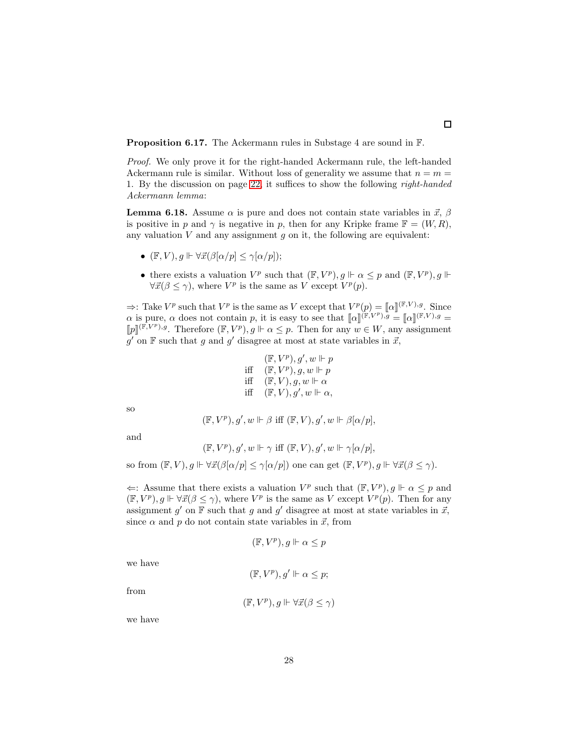<span id="page-27-0"></span>Proposition 6.17. The Ackermann rules in Substage 4 are sound in F.

*Proof.* We only prove it for the right-handed Ackermann rule, the left-handed Ackermann rule is similar. Without loss of generality we assume that  $n = m =$ 1. By the discussion on page [22,](#page-21-0) it suffices to show the following *right-handed Ackermann lemma*:

**Lemma 6.18.** Assume  $\alpha$  is pure and does not contain state variables in  $\vec{x}$ ,  $\beta$ is positive in p and  $\gamma$  is negative in p, then for any Kripke frame  $\mathbb{F} = (W, R)$ , any valuation  $V$  and any assignment  $q$  on it, the following are equivalent:

- $(\mathbb{F}, V), q \Vdash \forall \vec{x}(\beta[\alpha/p] \leq \gamma[\alpha/p]);$
- there exists a valuation  $V^p$  such that  $(\mathbb{F}, V^p), g \Vdash \alpha \leq p$  and  $(\mathbb{F}, V^p), g \Vdash$  $\forall \vec{x} (\beta \leq \gamma)$ , where  $V^p$  is the same as V except  $V^p(p)$ .

 $\Rightarrow$ : Take  $V^p$  such that  $V^p$  is the same as V except that  $V^p(p) = [\![\alpha]\!]^{(\mathbb{F}, V), g}$ . Since  $\alpha$  is pure,  $\alpha$  does not contain p, it is easy to see that  $[\![\alpha]\!]^{(\mathbb{F},V^p),\mathcal{G}} = [\![\alpha]\!]^{(\mathbb{F},V),g} =$  $[p]^{(\mathbb{F},V^p),g}$ . Therefore  $(\mathbb{F},V^p),g \Vdash \alpha \leq p$ . Then for any  $w \in W$ , any assignment  $g'$  on F such that g and g' disagree at most at state variables in  $\vec{x}$ ,

$$
\begin{array}{c} (\mathbb{F}, V^p), g', w\Vdash p\\ \text{iff}~~(\mathbb{F}, V^p), g, w\Vdash p\\ \text{iff}~~(\mathbb{F}, V), g, w\Vdash \alpha\\ \text{iff}~~(\mathbb{F}, V), g', w\Vdash \alpha, \end{array}
$$

so

$$
(\mathbb{F}, V^p), g', w \Vdash \beta \text{ iff } (\mathbb{F}, V), g', w \Vdash \beta[\alpha/p],
$$

and

$$
(\mathbb{F}, V^p), g', w \Vdash \gamma \text{ iff } (\mathbb{F}, V), g', w \Vdash \gamma[\alpha/p],
$$

so from  $(\mathbb{F}, V), g \Vdash \forall \vec{x}(\beta[\alpha/p] \leq \gamma[\alpha/p])$  one can get  $(\mathbb{F}, V^p), g \Vdash \forall \vec{x}(\beta \leq \gamma)$ .

 $\Leftarrow$ : Assume that there exists a valuation  $V^p$  such that  $(\mathbb{F}, V^p), g \Vdash \alpha \leq p$  and  $(\mathbb{F}, V^p), g \Vdash \forall \vec{x} (\beta \leq \gamma)$ , where  $V^p$  is the same as V except  $V^p(p)$ . Then for any assignment  $g'$  on  $\mathbb F$  such that  $g$  and  $g'$  disagree at most at state variables in  $\vec{x}$ , since  $\alpha$  and  $p$  do not contain state variables in  $\vec{x}$ , from

$$
(\mathbb{F}, V^p), g \Vdash \alpha \leq p
$$

we have

$$
(\mathbb{F}, V^p), g' \Vdash \alpha \leq p;
$$

from

$$
(\mathbb{F}, V^p), g \Vdash \forall \vec{x} (\beta \le \gamma)
$$

we have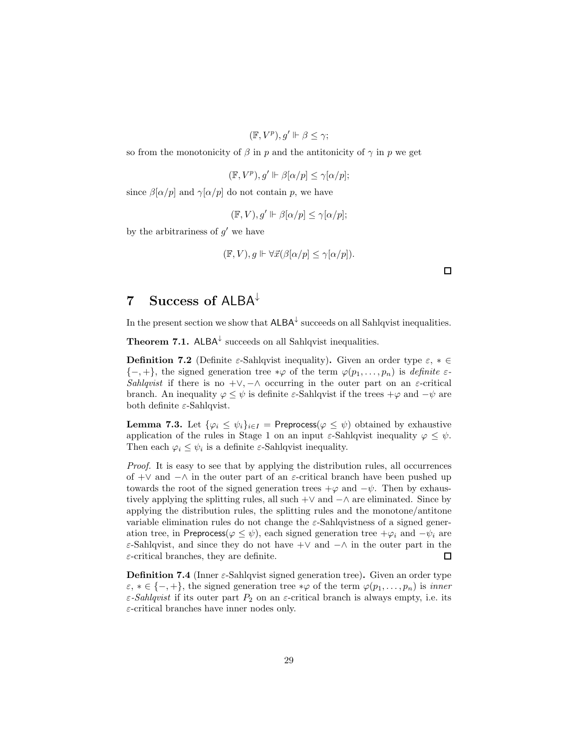$$
(\mathbb{F}, V^p), g' \Vdash \beta \leq \gamma;
$$

so from the monotonicity of  $\beta$  in p and the antitonicity of  $\gamma$  in p we get

$$
(\mathbb{F}, V^p), g' \Vdash \beta[\alpha/p] \le \gamma[\alpha/p];
$$

since  $\beta[\alpha/p]$  and  $\gamma[\alpha/p]$  do not contain p, we have

$$
(\mathbb{F}, V), g' \Vdash \beta[\alpha/p] \le \gamma[\alpha/p];
$$

by the arbitrariness of  $g'$  we have

$$
(\mathbb{F}, V), g \Vdash \forall \vec{x} (\beta[\alpha/p] \le \gamma[\alpha/p]).
$$

<span id="page-28-0"></span>7 Success of ALBA<sup>↓</sup>

In the present section we show that  $\mathsf{ALBA}^\downarrow$  succeeds on all Sahlqvist inequalities.

<span id="page-28-1"></span>**Theorem 7.1.** ALBA $^{\downarrow}$  succeeds on all Sahlqvist inequalities.

**Definition 7.2** (Definite  $\varepsilon$ -Sahlqvist inequality). Given an order type  $\varepsilon$ ,  $* \in$  $\{-,+\}$ , the signed generation tree  $*\varphi$  of the term  $\varphi(p_1,\ldots,p_n)$  is *definite*  $\varepsilon$ -*Sahlqvist* if there is no  $+\vee, -\wedge$  occurring in the outer part on an  $\varepsilon$ -critical branch. An inequality  $\varphi \leq \psi$  is definite  $\varepsilon$ -Sahlqvist if the trees  $+\varphi$  and  $-\psi$  are both definite  $\varepsilon$ -Sahlqvist.

<span id="page-28-2"></span>**Lemma 7.3.** Let  $\{\varphi_i \leq \psi_i\}_{i \in I} =$  Preprocess $(\varphi \leq \psi)$  obtained by exhaustive application of the rules in Stage 1 on an input  $\varepsilon$ -Sahlqvist inequality  $\varphi \leq \psi$ . Then each  $\varphi_i \leq \psi_i$  is a definite  $\varepsilon$ -Sahlqvist inequality.

*Proof.* It is easy to see that by applying the distribution rules, all occurrences of  $+\vee$  and  $-\wedge$  in the outer part of an  $\varepsilon$ -critical branch have been pushed up towards the root of the signed generation trees  $+\varphi$  and  $-\psi$ . Then by exhaustively applying the splitting rules, all such  $+\vee$  and  $-\wedge$  are eliminated. Since by applying the distribution rules, the splitting rules and the monotone/antitone variable elimination rules do not change the  $\varepsilon$ -Sahlqvistness of a signed generation tree, in Preprocess( $\varphi \leq \psi$ ), each signed generation tree  $+\varphi_i$  and  $-\psi_i$  are  $\varepsilon$ -Sahlqvist, and since they do not have +∨ and  $-\wedge$  in the outer part in the  $\varepsilon$ -critical branches, they are definite.  $\Box$ 

**Definition 7.4** (Inner  $\varepsilon$ -Sahlqvist signed generation tree). Given an order type  $\varepsilon, * \in \{-, +\},\$  the signed generation tree  $*\varphi$  of the term  $\varphi(p_1, \ldots, p_n)$  is *inner*  $\varepsilon$ -*Sahlqvist* if its outer part  $P_2$  on an  $\varepsilon$ -critical branch is always empty, i.e. its  $\varepsilon$ -critical branches have inner nodes only.

 $\Box$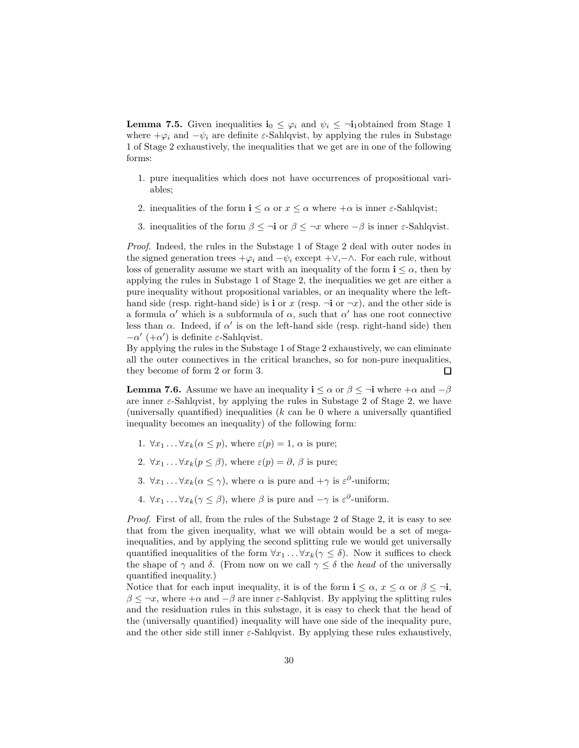<span id="page-29-1"></span>**Lemma 7.5.** Given inequalities  $\mathbf{i}_0 \leq \varphi_i$  and  $\psi_i \leq -\mathbf{i}_1$ obtained from Stage 1 where  $+\varphi_i$  and  $-\psi_i$  are definite  $\varepsilon$ -Sahlqvist, by applying the rules in Substage 1 of Stage 2 exhaustively, the inequalities that we get are in one of the following forms:

- 1. pure inequalities which does not have occurrences of propositional variables;
- 2. inequalities of the form  $\mathbf{i} \leq \alpha$  or  $x \leq \alpha$  where  $+\alpha$  is inner  $\varepsilon$ -Sahlqvist;
- 3. inequalities of the form  $\beta \leq \neg i$  or  $\beta \leq \neg x$  where  $-\beta$  is inner  $\varepsilon$ -Sahlqvist.

*Proof.* Indeed, the rules in the Substage 1 of Stage 2 deal with outer nodes in the signed generation trees  $+\varphi_i$  and  $-\psi_i$  except  $+\vee, -\wedge$ . For each rule, without loss of generality assume we start with an inequality of the form  $i \leq \alpha$ , then by applying the rules in Substage 1 of Stage 2, the inequalities we get are either a pure inequality without propositional variables, or an inequality where the lefthand side (resp. right-hand side) is **i** or x (resp.  $\neg$ **i** or  $\neg$ x), and the other side is a formula  $\alpha'$  which is a subformula of  $\alpha$ , such that  $\alpha'$  has one root connective less than  $\alpha$ . Indeed, if  $\alpha'$  is on the left-hand side (resp. right-hand side) then  $-α' (+α')$  is definite ε-Sahlqvist.

By applying the rules in the Substage 1 of Stage 2 exhaustively, we can eliminate all the outer connectives in the critical branches, so for non-pure inequalities, they become of form 2 or form 3.  $\Box$ 

<span id="page-29-0"></span>**Lemma 7.6.** Assume we have an inequality  $\mathbf{i} \leq \alpha$  or  $\beta \leq \neg \mathbf{i}$  where  $+\alpha$  and  $-\beta$ are inner  $\varepsilon$ -Sahlqvist, by applying the rules in Substage 2 of Stage 2, we have (universally quantified) inequalities  $(k \text{ can be } 0 \text{ where a universally quantified})$ inequality becomes an inequality) of the following form:

- 1.  $\forall x_1 \dots \forall x_k (\alpha \leq p)$ , where  $\varepsilon(p) = 1$ ,  $\alpha$  is pure;
- 2.  $\forall x_1 \dots \forall x_k (p \leq \beta)$ , where  $\varepsilon(p) = \partial, \beta$  is pure;
- 3.  $\forall x_1 \dots \forall x_k (\alpha \leq \gamma)$ , where  $\alpha$  is pure and  $+\gamma$  is  $\varepsilon^{\partial}$ -uniform;
- 4.  $\forall x_1 \dots \forall x_k (\gamma \leq \beta)$ , where  $\beta$  is pure and  $-\gamma$  is  $\varepsilon^{\partial}$ -uniform.

*Proof.* First of all, from the rules of the Substage 2 of Stage 2, it is easy to see that from the given inequality, what we will obtain would be a set of megainequalities, and by applying the second splitting rule we would get universally quantified inequalities of the form  $\forall x_1 \dots \forall x_k (\gamma \leq \delta)$ . Now it suffices to check the shape of  $\gamma$  and  $\delta$ . (From now on we call  $\gamma \leq \delta$  the *head* of the universally quantified inequality.)

Notice that for each input inequality, it is of the form  $\mathbf{i} \leq \alpha$ ,  $x \leq \alpha$  or  $\beta \leq \neg \mathbf{i}$ ,  $\beta \leq \neg x$ , where  $+\alpha$  and  $-\beta$  are inner  $\varepsilon$ -Sahlqvist. By applying the splitting rules and the residuation rules in this substage, it is easy to check that the head of the (universally quantified) inequality will have one side of the inequality pure, and the other side still inner  $\varepsilon$ -Sahlqvist. By applying these rules exhaustively,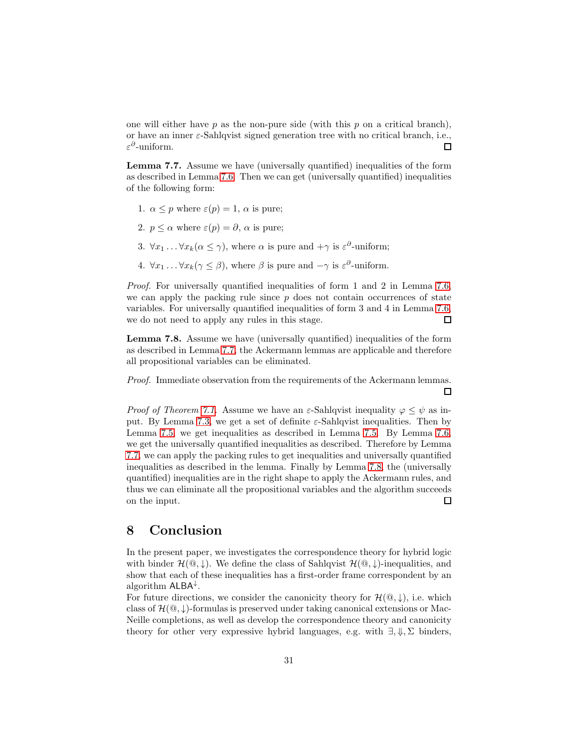one will either have  $p$  as the non-pure side (with this  $p$  on a critical branch), or have an inner  $\varepsilon$ -Sahlqvist signed generation tree with no critical branch, i.e.,  $\varepsilon^{\partial}$ -uniform. □

<span id="page-30-1"></span>Lemma 7.7. Assume we have (universally quantified) inequalities of the form as described in Lemma [7.6.](#page-29-0) Then we can get (universally quantified) inequalities of the following form:

- 1.  $\alpha \leq p$  where  $\varepsilon(p) = 1$ ,  $\alpha$  is pure;
- 2.  $p \leq \alpha$  where  $\varepsilon(p) = \partial$ ,  $\alpha$  is pure;
- 3.  $\forall x_1 \dots \forall x_k (\alpha \leq \gamma)$ , where  $\alpha$  is pure and  $+\gamma$  is  $\varepsilon^{\partial}$ -uniform;
- 4.  $\forall x_1 \dots \forall x_k (\gamma \leq \beta)$ , where  $\beta$  is pure and  $-\gamma$  is  $\varepsilon^{\partial}$ -uniform.

*Proof.* For universally quantified inequalities of form 1 and 2 in Lemma [7.6,](#page-29-0) we can apply the packing rule since  $p$  does not contain occurrences of state variables. For universally quantified inequalities of form 3 and 4 in Lemma [7.6,](#page-29-0) we do not need to apply any rules in this stage.  $\Box$ 

<span id="page-30-2"></span>Lemma 7.8. Assume we have (universally quantified) inequalities of the form as described in Lemma [7.7,](#page-30-1) the Ackermann lemmas are applicable and therefore all propositional variables can be eliminated.

*Proof.* Immediate observation from the requirements of the Ackermann lemmas. П

*Proof of Theorem [7.1.](#page-28-1)* Assume we have an  $\varepsilon$ -Sahlqvist inequality  $\varphi \leq \psi$  as in-put. By Lemma [7.3,](#page-28-2) we get a set of definite  $\varepsilon$ -Sahlqvist inequalities. Then by Lemma [7.5,](#page-29-1) we get inequalities as described in Lemma [7.5.](#page-29-1) By Lemma [7.6,](#page-29-0) we get the universally quantified inequalities as described. Therefore by Lemma [7.7,](#page-30-1) we can apply the packing rules to get inequalities and universally quantified inequalities as described in the lemma. Finally by Lemma [7.8,](#page-30-2) the (universally quantified) inequalities are in the right shape to apply the Ackermann rules, and thus we can eliminate all the propositional variables and the algorithm succeeds on the input. 口

## <span id="page-30-0"></span>8 Conclusion

In the present paper, we investigates the correspondence theory for hybrid logic with binder  $\mathcal{H}(\mathbb{Q},\downarrow)$ . We define the class of Sahlqvist  $\mathcal{H}(\mathbb{Q},\downarrow)$ -inequalities, and show that each of these inequalities has a first-order frame correspondent by an algorithm ALBA<sup>↓</sup> .

For future directions, we consider the canonicity theory for  $\mathcal{H}(\mathbb{Q},\downarrow)$ , i.e. which class of  $\mathcal{H}(\mathbb{Q},\downarrow)$ -formulas is preserved under taking canonical extensions or Mac-Neille completions, as well as develop the correspondence theory and canonicity theory for other very expressive hybrid languages, e.g. with  $\exists, \psi, \Sigma$  binders,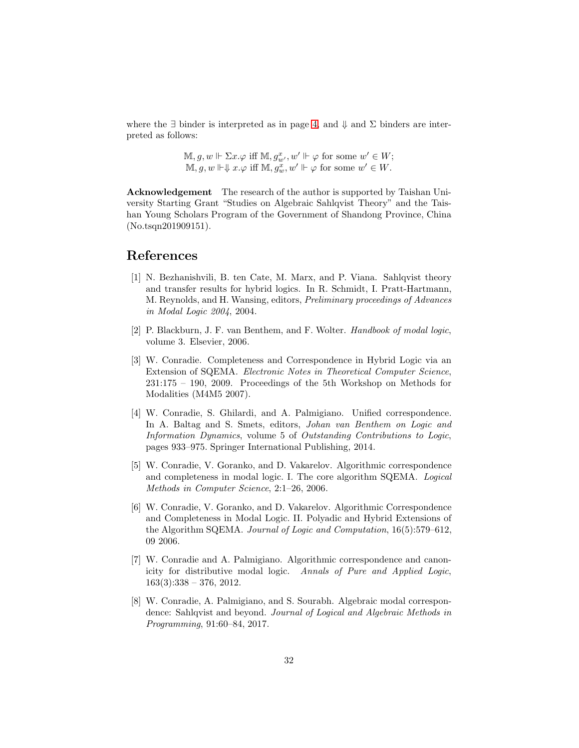where the  $\exists$  binder is interpreted as in page [4,](#page-2-0) and  $\Downarrow$  and  $\Sigma$  binders are interpreted as follows:

> $\mathbb{M}, g, w \Vdash \Sigma x. \varphi$  iff  $\mathbb{M}, g_{w'}^x, w' \Vdash \varphi$  for some  $w' \in W$ ;  $\mathbb{M}, g, w \Vdash \downarrow x \varphi$  iff  $\mathbb{M}, g_w^x, w' \Vdash \varphi$  for some  $w' \in W$ .

Acknowledgement The research of the author is supported by Taishan University Starting Grant "Studies on Algebraic Sahlqvist Theory" and the Taishan Young Scholars Program of the Government of Shandong Province, China (No.tsqn201909151).

## <span id="page-31-1"></span>References

- [1] N. Bezhanishvili, B. ten Cate, M. Marx, and P. Viana. Sahlqvist theory and transfer results for hybrid logics. In R. Schmidt, I. Pratt-Hartmann, M. Reynolds, and H. Wansing, editors, *Preliminary proceedings of Advances in Modal Logic 2004*, 2004.
- <span id="page-31-0"></span>[2] P. Blackburn, J. F. van Benthem, and F. Wolter. *Handbook of modal logic*, volume 3. Elsevier, 2006.
- <span id="page-31-2"></span>[3] W. Conradie. Completeness and Correspondence in Hybrid Logic via an Extension of SQEMA. *Electronic Notes in Theoretical Computer Science*, 231:175 – 190, 2009. Proceedings of the 5th Workshop on Methods for Modalities (M4M5 2007).
- <span id="page-31-5"></span>[4] W. Conradie, S. Ghilardi, and A. Palmigiano. Unified correspondence. In A. Baltag and S. Smets, editors, *Johan van Benthem on Logic and Information Dynamics*, volume 5 of *Outstanding Contributions to Logic*, pages 933–975. Springer International Publishing, 2014.
- <span id="page-31-6"></span>[5] W. Conradie, V. Goranko, and D. Vakarelov. Algorithmic correspondence and completeness in modal logic. I. The core algorithm SQEMA. *Logical Methods in Computer Science*, 2:1–26, 2006.
- <span id="page-31-3"></span>[6] W. Conradie, V. Goranko, and D. Vakarelov. Algorithmic Correspondence and Completeness in Modal Logic. II. Polyadic and Hybrid Extensions of the Algorithm SQEMA. *Journal of Logic and Computation*, 16(5):579–612, 09 2006.
- <span id="page-31-7"></span>[7] W. Conradie and A. Palmigiano. Algorithmic correspondence and canonicity for distributive modal logic. *Annals of Pure and Applied Logic*,  $163(3):338 - 376, 2012.$
- <span id="page-31-4"></span>[8] W. Conradie, A. Palmigiano, and S. Sourabh. Algebraic modal correspondence: Sahlqvist and beyond. *Journal of Logical and Algebraic Methods in Programming*, 91:60–84, 2017.